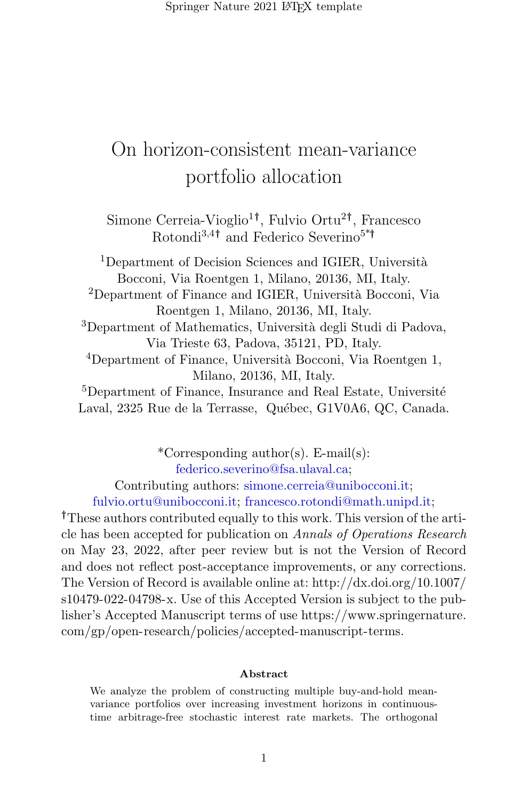Springer Nature 2021 LAT<sub>EX</sub> template

# On horizon-consistent mean-variance portfolio allocation

Simone Cerreia-Vioglio<sup>1†</sup>, Fulvio Ortu<sup>2†</sup>, Francesco Rotondi3,4† and Federico Severino5\*†

 $1$ Department of Decision Sciences and IGIER, Università Bocconi, Via Roentgen 1, Milano, 20136, MI, Italy. <sup>2</sup>Department of Finance and IGIER, Università Bocconi, Via Roentgen 1, Milano, 20136, MI, Italy. <sup>3</sup>Department of Mathematics, Università degli Studi di Padova, Via Trieste 63, Padova, 35121, PD, Italy. <sup>4</sup>Department of Finance, Università Bocconi, Via Roentgen 1, Milano, 20136, MI, Italy. <sup>5</sup>Department of Finance, Insurance and Real Estate, Université Laval, 2325 Rue de la Terrasse, Québec, G1V0A6, QC, Canada.

\*Corresponding author(s). E-mail(s): federico.severino@fsa.ulaval.ca; Contributing authors: simone.cerreia@unibocconi.it;

fulvio.ortu@unibocconi.it; francesco.rotondi@math.unipd.it;

†These authors contributed equally to this work. This version of the article has been accepted for publication on Annals of Operations Research on May 23, 2022, after peer review but is not the Version of Record and does not reflect post-acceptance improvements, or any corrections. The Version of Record is available online at: [http://dx.doi.org/10.1007/](http://dx.doi.org/10.1007/s10479-022-04798-x) [s10479-022-04798-x.](http://dx.doi.org/10.1007/s10479-022-04798-x) Use of this Accepted Version is subject to the publisher's Accepted Manuscript terms of use [https://www.springernature.](https://www.springernature.com/gp/open-research/policies/accepted-manuscript-terms) [com/gp/open-research/policies/accepted-manuscript-terms.](https://www.springernature.com/gp/open-research/policies/accepted-manuscript-terms)

#### Abstract

We analyze the problem of constructing multiple buy-and-hold meanvariance portfolios over increasing investment horizons in continuoustime arbitrage-free stochastic interest rate markets. The orthogonal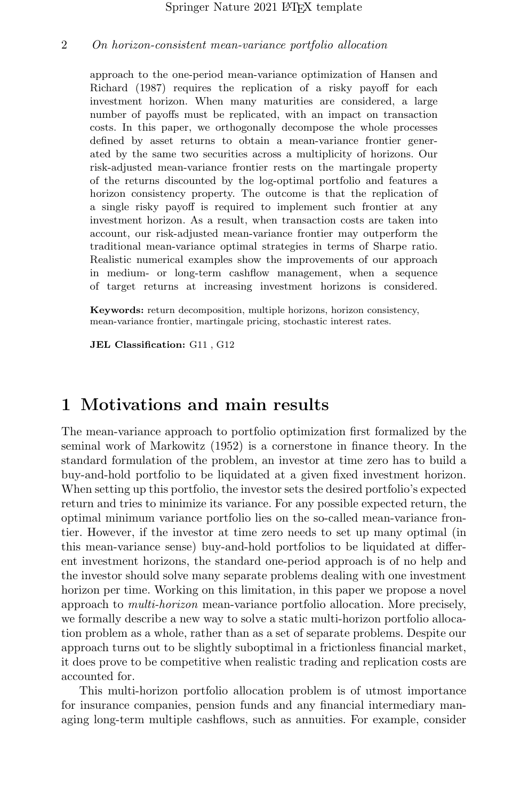approach to the one-period mean-variance optimization of [Hansen and](#page-37-0) [Richard](#page-37-0) [\(1987\)](#page-37-0) requires the replication of a risky payoff for each investment horizon. When many maturities are considered, a large number of payoffs must be replicated, with an impact on transaction costs. In this paper, we orthogonally decompose the whole processes defined by asset returns to obtain a mean-variance frontier generated by the same two securities across a multiplicity of horizons. Our risk-adjusted mean-variance frontier rests on the martingale property of the returns discounted by the log-optimal portfolio and features a horizon consistency property. The outcome is that the replication of a single risky payoff is required to implement such frontier at any investment horizon. As a result, when transaction costs are taken into account, our risk-adjusted mean-variance frontier may outperform the traditional mean-variance optimal strategies in terms of Sharpe ratio. Realistic numerical examples show the improvements of our approach in medium- or long-term cashflow management, when a sequence of target returns at increasing investment horizons is considered.

Keywords: return decomposition, multiple horizons, horizon consistency, mean-variance frontier, martingale pricing, stochastic interest rates.

JEL Classification: G11 , G12

## <span id="page-1-0"></span>1 Motivations and main results

The mean-variance approach to portfolio optimization first formalized by the seminal work of [Markowitz](#page-37-1) [\(1952\)](#page-37-1) is a cornerstone in finance theory. In the standard formulation of the problem, an investor at time zero has to build a buy-and-hold portfolio to be liquidated at a given fixed investment horizon. When setting up this portfolio, the investor sets the desired portfolio's expected return and tries to minimize its variance. For any possible expected return, the optimal minimum variance portfolio lies on the so-called mean-variance frontier. However, if the investor at time zero needs to set up many optimal (in this mean-variance sense) buy-and-hold portfolios to be liquidated at different investment horizons, the standard one-period approach is of no help and the investor should solve many separate problems dealing with one investment horizon per time. Working on this limitation, in this paper we propose a novel approach to multi-horizon mean-variance portfolio allocation. More precisely, we formally describe a new way to solve a static multi-horizon portfolio allocation problem as a whole, rather than as a set of separate problems. Despite our approach turns out to be slightly suboptimal in a frictionless financial market, it does prove to be competitive when realistic trading and replication costs are accounted for.

This multi-horizon portfolio allocation problem is of utmost importance for insurance companies, pension funds and any financial intermediary managing long-term multiple cashflows, such as annuities. For example, consider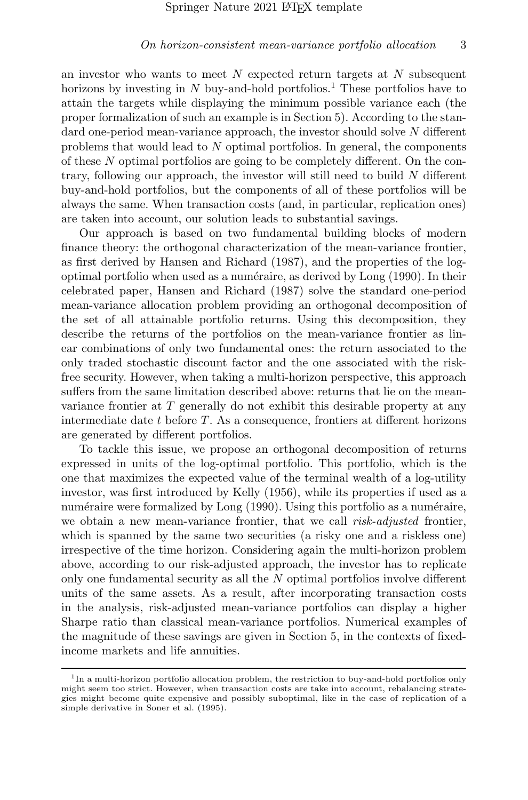an investor who wants to meet  $N$  expected return targets at  $N$  subsequent horizons by investing in N buy-and-hold portfolios.<sup>[1](#page-2-0)</sup> These portfolios have to attain the targets while displaying the minimum possible variance each (the proper formalization of such an example is in Section [5\)](#page-18-0). According to the standard one-period mean-variance approach, the investor should solve N different problems that would lead to N optimal portfolios. In general, the components of these N optimal portfolios are going to be completely different. On the contrary, following our approach, the investor will still need to build N different buy-and-hold portfolios, but the components of all of these portfolios will be always the same. When transaction costs (and, in particular, replication ones) are taken into account, our solution leads to substantial savings.

Our approach is based on two fundamental building blocks of modern finance theory: the orthogonal characterization of the mean-variance frontier, as first derived by [Hansen and Richard](#page-37-0) [\(1987\)](#page-37-0), and the properties of the log-optimal portfolio when used as a numéraire, as derived by [Long](#page-37-2)  $(1990)$ . In their celebrated paper, [Hansen and Richard](#page-37-0) [\(1987\)](#page-37-0) solve the standard one-period mean-variance allocation problem providing an orthogonal decomposition of the set of all attainable portfolio returns. Using this decomposition, they describe the returns of the portfolios on the mean-variance frontier as linear combinations of only two fundamental ones: the return associated to the only traded stochastic discount factor and the one associated with the riskfree security. However, when taking a multi-horizon perspective, this approach suffers from the same limitation described above: returns that lie on the meanvariance frontier at T generally do not exhibit this desirable property at any intermediate date t before T. As a consequence, frontiers at different horizons are generated by different portfolios.

To tackle this issue, we propose an orthogonal decomposition of returns expressed in units of the log-optimal portfolio. This portfolio, which is the one that maximizes the expected value of the terminal wealth of a log-utility investor, was first introduced by [Kelly](#page-37-3) [\(1956\)](#page-37-3), while its properties if used as a numéraire were formalized by [Long](#page-37-2) [\(1990\)](#page-37-2). Using this portfolio as a numéraire, we obtain a new mean-variance frontier, that we call *risk-adjusted* frontier, which is spanned by the same two securities (a risky one and a riskless one) irrespective of the time horizon. Considering again the multi-horizon problem above, according to our risk-adjusted approach, the investor has to replicate only one fundamental security as all the N optimal portfolios involve different units of the same assets. As a result, after incorporating transaction costs in the analysis, risk-adjusted mean-variance portfolios can display a higher Sharpe ratio than classical mean-variance portfolios. Numerical examples of the magnitude of these savings are given in Section [5,](#page-18-0) in the contexts of fixedincome markets and life annuities.

<span id="page-2-0"></span><sup>&</sup>lt;sup>1</sup>In a multi-horizon portfolio allocation problem, the restriction to buy-and-hold portfolios only might seem too strict. However, when transaction costs are take into account, rebalancing strategies might become quite expensive and possibly suboptimal, like in the case of replication of a simple derivative in [Soner et al.](#page-38-0) [\(1995\)](#page-38-0).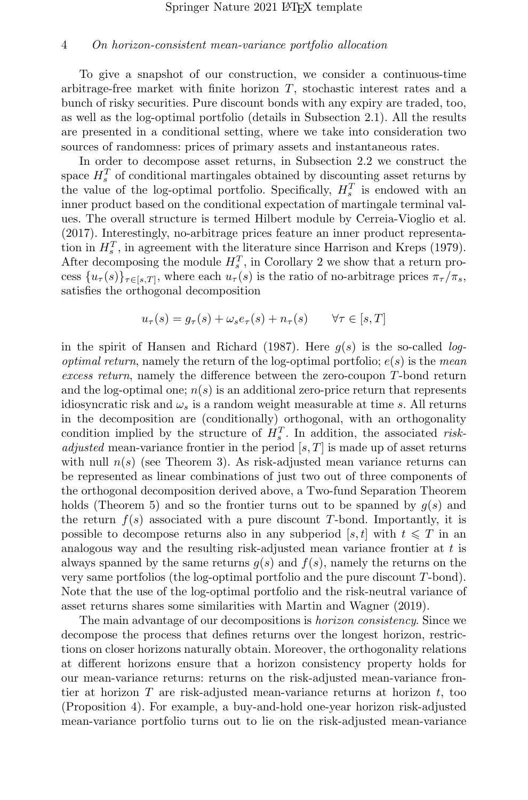To give a snapshot of our construction, we consider a continuous-time arbitrage-free market with finite horizon T, stochastic interest rates and a bunch of risky securities. Pure discount bonds with any expiry are traded, too, as well as the log-optimal portfolio (details in Subsection [2.1\)](#page-5-0). All the results are presented in a conditional setting, where we take into consideration two sources of randomness: prices of primary assets and instantaneous rates.

In order to decompose asset returns, in Subsection [2.2](#page-7-0) we construct the space  $H_s^T$  of conditional martingales obtained by discounting asset returns by the value of the log-optimal portfolio. Specifically,  $H_s^T$  is endowed with an inner product based on the conditional expectation of martingale terminal values. The overall structure is termed Hilbert module by [Cerreia-Vioglio et al.](#page-36-0) [\(2017\)](#page-36-0). Interestingly, no-arbitrage prices feature an inner product representation in  $H_s^T$ , in agreement with the literature since [Harrison and Kreps](#page-37-4) [\(1979\)](#page-37-4). After decomposing the module  $H_s^T$ , in Corollary [2](#page-13-0) we show that a return process  $\{u_\tau(s)\}_{\tau \in [s,T]}$ , where each  $u_\tau(s)$  is the ratio of no-arbitrage prices  $\pi_\tau/\pi_s$ , satisfies the orthogonal decomposition

$$
u_{\tau}(s) = g_{\tau}(s) + \omega_s e_{\tau}(s) + n_{\tau}(s) \qquad \forall \tau \in [s, T]
$$

in the spirit of [Hansen and Richard](#page-37-0) [\(1987\)](#page-37-0). Here  $q(s)$  is the so-called log*optimal return*, namely the return of the log-optimal portfolio;  $e(s)$  is the mean excess return, namely the difference between the zero-coupon T-bond return and the log-optimal one;  $n(s)$  is an additional zero-price return that represents idiosyncratic risk and  $\omega_s$  is a random weight measurable at time s. All returns in the decomposition are (conditionally) orthogonal, with an orthogonality condition implied by the structure of  $H_s^T$ . In addition, the associated risk*adjusted* mean-variance frontier in the period  $[s, T]$  is made up of asset returns with null  $n(s)$  (see Theorem [3\)](#page-14-0). As risk-adjusted mean variance returns can be represented as linear combinations of just two out of three components of the orthogonal decomposition derived above, a Two-fund Separation Theorem holds (Theorem [5\)](#page-18-1) and so the frontier turns out to be spanned by  $g(s)$  and the return  $f(s)$  associated with a pure discount T-bond. Importantly, it is possible to decompose returns also in any subperiod [s, t] with  $t \leq T$  in an analogous way and the resulting risk-adjusted mean variance frontier at t is always spanned by the same returns  $q(s)$  and  $f(s)$ , namely the returns on the very same portfolios (the log-optimal portfolio and the pure discount T-bond). Note that the use of the log-optimal portfolio and the risk-neutral variance of asset returns shares some similarities with [Martin and Wagner](#page-37-5) [\(2019\)](#page-37-5).

The main advantage of our decompositions is horizon consistency. Since we decompose the process that defines returns over the longest horizon, restrictions on closer horizons naturally obtain. Moreover, the orthogonality relations at different horizons ensure that a horizon consistency property holds for our mean-variance returns: returns on the risk-adjusted mean-variance frontier at horizon  $T$  are risk-adjusted mean-variance returns at horizon  $t$ , too (Proposition [4\)](#page-17-0). For example, a buy-and-hold one-year horizon risk-adjusted mean-variance portfolio turns out to lie on the risk-adjusted mean-variance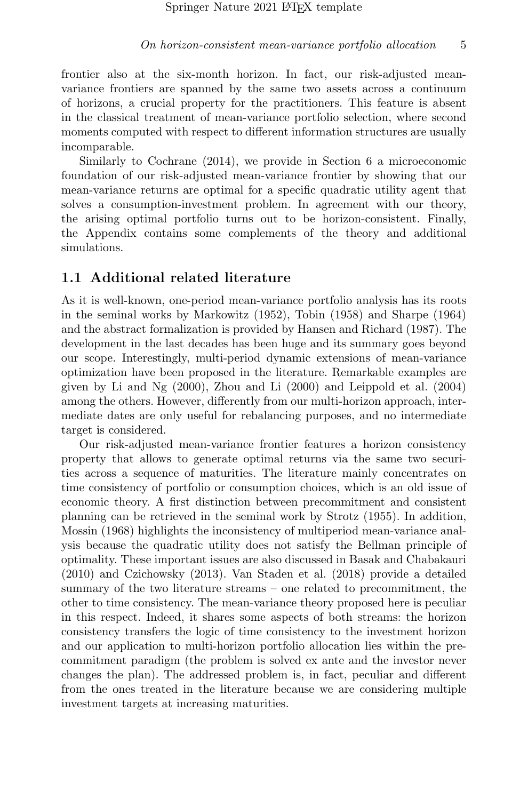frontier also at the six-month horizon. In fact, our risk-adjusted meanvariance frontiers are spanned by the same two assets across a continuum of horizons, a crucial property for the practitioners. This feature is absent in the classical treatment of mean-variance portfolio selection, where second moments computed with respect to different information structures are usually incomparable.

Similarly to [Cochrane](#page-36-1) [\(2014\)](#page-36-1), we provide in Section [6](#page-27-0) a microeconomic foundation of our risk-adjusted mean-variance frontier by showing that our mean-variance returns are optimal for a specific quadratic utility agent that solves a consumption-investment problem. In agreement with our theory, the arising optimal portfolio turns out to be horizon-consistent. Finally, the Appendix contains some complements of the theory and additional simulations.

### 1.1 Additional related literature

As it is well-known, one-period mean-variance portfolio analysis has its roots in the seminal works by [Markowitz](#page-37-1) [\(1952\)](#page-37-1), [Tobin](#page-38-1) [\(1958\)](#page-38-1) and [Sharpe](#page-38-2) [\(1964\)](#page-38-2) and the abstract formalization is provided by [Hansen and Richard](#page-37-0) [\(1987\)](#page-37-0). The development in the last decades has been huge and its summary goes beyond our scope. Interestingly, multi-period dynamic extensions of mean-variance optimization have been proposed in the literature. Remarkable examples are given by [Li and Ng](#page-37-6) [\(2000\)](#page-37-6), [Zhou and Li](#page-38-3) [\(2000\)](#page-38-3) and [Leippold et al.](#page-37-7) [\(2004\)](#page-37-7) among the others. However, differently from our multi-horizon approach, intermediate dates are only useful for rebalancing purposes, and no intermediate target is considered.

Our risk-adjusted mean-variance frontier features a horizon consistency property that allows to generate optimal returns via the same two securities across a sequence of maturities. The literature mainly concentrates on time consistency of portfolio or consumption choices, which is an old issue of economic theory. A first distinction between precommitment and consistent planning can be retrieved in the seminal work by [Strotz](#page-38-4) [\(1955\)](#page-38-4). In addition, [Mossin](#page-38-5) [\(1968\)](#page-38-5) highlights the inconsistency of multiperiod mean-variance analysis because the quadratic utility does not satisfy the Bellman principle of optimality. These important issues are also discussed in [Basak and Chabakauri](#page-36-2) [\(2010\)](#page-36-2) and [Czichowsky](#page-36-3) [\(2013\)](#page-36-3). [Van Staden et al.](#page-38-6) [\(2018\)](#page-38-6) provide a detailed summary of the two literature streams – one related to precommitment, the other to time consistency. The mean-variance theory proposed here is peculiar in this respect. Indeed, it shares some aspects of both streams: the horizon consistency transfers the logic of time consistency to the investment horizon and our application to multi-horizon portfolio allocation lies within the precommitment paradigm (the problem is solved ex ante and the investor never changes the plan). The addressed problem is, in fact, peculiar and different from the ones treated in the literature because we are considering multiple investment targets at increasing maturities.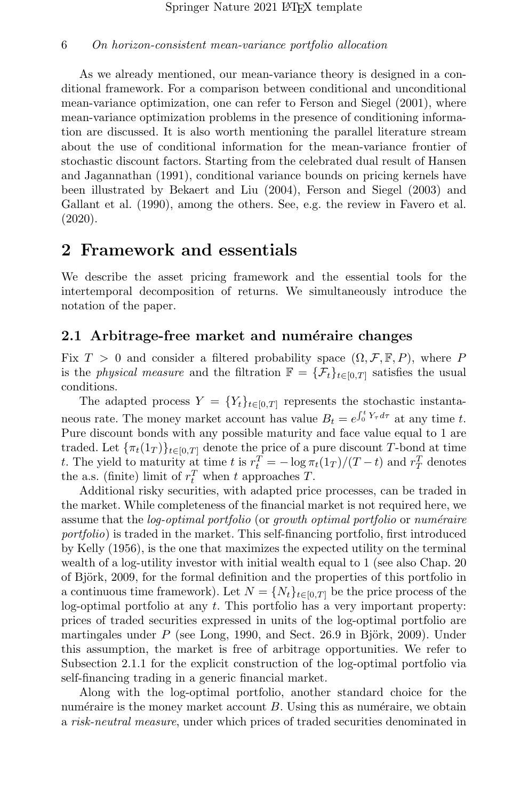As we already mentioned, our mean-variance theory is designed in a conditional framework. For a comparison between conditional and unconditional mean-variance optimization, one can refer to [Ferson and Siegel](#page-36-4) [\(2001\)](#page-36-4), where mean-variance optimization problems in the presence of conditioning information are discussed. It is also worth mentioning the parallel literature stream about the use of conditional information for the mean-variance frontier of stochastic discount factors. Starting from the celebrated dual result of [Hansen](#page-37-8) [and Jagannathan](#page-37-8) [\(1991\)](#page-37-8), conditional variance bounds on pricing kernels have been illustrated by [Bekaert and Liu](#page-36-5) [\(2004\)](#page-36-5), [Ferson and Siegel](#page-37-9) [\(2003\)](#page-37-9) and [Gallant et al.](#page-37-10) [\(1990\)](#page-37-10), among the others. See, e.g. the review in [Favero et al.](#page-36-6) [\(2020\)](#page-36-6).

## 2 Framework and essentials

We describe the asset pricing framework and the essential tools for the intertemporal decomposition of returns. We simultaneously introduce the notation of the paper.

#### <span id="page-5-0"></span>2.1 Arbitrage-free market and numéraire changes

Fix  $T > 0$  and consider a filtered probability space  $(\Omega, \mathcal{F}, \mathbb{F}, P)$ , where P is the *physical measure* and the filtration  $\mathbb{F} = {\mathcal{F}_t}_{t \in [0,T]}$  satisfies the usual conditions.

The adapted process  $Y = \{Y_t\}_{t \in [0,T]}$  represents the stochastic instantaneous rate. The money market account has value  $B_t = e^{\int_0^t Y_\tau d\tau}$  at any time t. Pure discount bonds with any possible maturity and face value equal to 1 are traded. Let  ${\lbrace \pi_t(1_T) \rbrace}_{t \in [0,T]}$  denote the price of a pure discount T-bond at time t. The yield to maturity at time t is  $r_t^T = -\log \pi_t(1_T)/(T-t)$  and  $r_T^T$  denotes the a.s. (finite) limit of  $r_t^T$  when t approaches T.

Additional risky securities, with adapted price processes, can be traded in the market. While completeness of the financial market is not required here, we assume that the *log-optimal portfolio* (or *growth optimal portfolio* or *numéraire* portfolio) is traded in the market. This self-financing portfolio, first introduced by [Kelly](#page-37-3) [\(1956\)](#page-37-3), is the one that maximizes the expected utility on the terminal wealth of a log-utility investor with initial wealth equal to 1 (see also Chap. 20) of Björk, 2009, for the formal definition and the properties of this portfolio in a continuous time framework). Let  $N = \{N_t\}_{t \in [0,T]}$  be the price process of the log-optimal portfolio at any  $t$ . This portfolio has a very important property: prices of traded securities expressed in units of the log-optimal portfolio are martingales under  $P$  (see [Long, 1990,](#page-37-2) and Sect. 26.9 in Björk, 2009). Under this assumption, the market is free of arbitrage opportunities. We refer to Subsection [2.1.1](#page-6-0) for the explicit construction of the log-optimal portfolio via self-financing trading in a generic financial market.

Along with the log-optimal portfolio, another standard choice for the numéraire is the money market account  $B$ . Using this as numéraire, we obtain a risk-neutral measure, under which prices of traded securities denominated in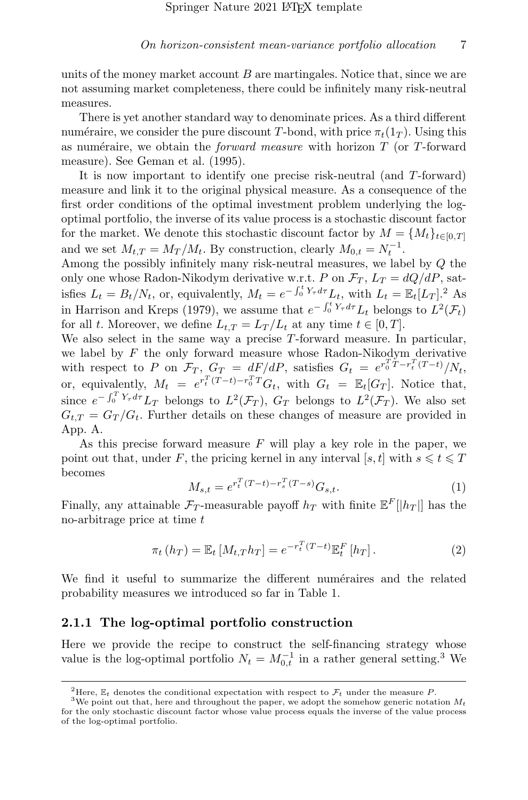units of the money market account  $B$  are martingales. Notice that, since we are not assuming market completeness, there could be infinitely many risk-neutral measures.

There is yet another standard way to denominate prices. As a third different numéraire, we consider the pure discount T-bond, with price  $\pi_t(1_T)$ . Using this as numéraire, we obtain the *forward measure* with horizon  $T$  (or  $T$ -forward measure). See [Geman et al.](#page-37-11) [\(1995\)](#page-37-11).

It is now important to identify one precise risk-neutral (and T-forward) measure and link it to the original physical measure. As a consequence of the first order conditions of the optimal investment problem underlying the logoptimal portfolio, the inverse of its value process is a stochastic discount factor for the market. We denote this stochastic discount factor by  $M = \{M_t\}_{t\in[0,T]}$ and we set  $M_{t,T} = M_T/M_t$ . By construction, clearly  $M_{0,t} = N_t^{-1}$ .

Among the possibly infinitely many risk-neutral measures, we label by Q the only one whose Radon-Nikodym derivative w.r.t. P on  $\mathcal{F}_T$ ,  $L_T = dQ/dP$ , satisfies  $L_t = B_t/N_t$ , or, equivalently,  $M_t = e^{-\int_0^t Y_\tau d\tau} L_t$ , with  $L_t = \mathbb{E}_t[L_T]$ .<sup>[2](#page-6-1)</sup> As in [Harrison and Kreps](#page-37-4) [\(1979\)](#page-37-4), we assume that  $e^{-\int_0^t Y_\tau d\tau} L_t$  belongs to  $L^2(\mathcal{F}_t)$ for all t. Moreover, we define  $L_{t,T} = L_T/L_t$  at any time  $t \in [0,T]$ .

We also select in the same way a precise T-forward measure. In particular, we label by  $F$  the only forward measure whose Radon-Nikodym derivative with respect to P on  $\mathcal{F}_T$ ,  $G_T = dF/dP$ , satisfies  $G_t = e^{r_0^T T - r_t^T (T-t)} / N_t$ , or, equivalently,  $M_t = e^{r_t^T(T-t)-r_0^TT}G_t$ , with  $G_t = \mathbb{E}_t[G_T]$ . Notice that, since  $e^{-\int_0^T Y_\tau d\tau} L_T$  belongs to  $L^2(\mathcal{F}_T)$ ,  $G_T$  belongs to  $L^2(\mathcal{F}_T)$ . We also set  $G_{t,T} = G_T/G_t$ . Further details on these changes of measure are provided in App. [A.](#page-31-0)

As this precise forward measure  $F$  will play a key role in the paper, we point out that, under F, the pricing kernel in any interval [s, t] with  $s \leq t \leq T$ becomes

<span id="page-6-4"></span>
$$
M_{s,t} = e^{r_t^T (T-t) - r_s^T (T-s)} G_{s,t}.
$$
\n(1)

Finally, any attainable  $\mathcal{F}_T$ -measurable payoff  $h_T$  with finite  $\mathbb{E}^F[|h_T|]$  has the no-arbitrage price at time  $t$ 

<span id="page-6-3"></span>
$$
\pi_t(h_T) = \mathbb{E}_t \left[ M_{t,T} h_T \right] = e^{-r_t^T (T-t)} \mathbb{E}_t^F \left[ h_T \right]. \tag{2}
$$

We find it useful to summarize the different numéraires and the related probability measures we introduced so far in Table [1.](#page-7-1)

#### <span id="page-6-0"></span>2.1.1 The log-optimal portfolio construction

Here we provide the recipe to construct the self-financing strategy whose value is the log-optimal portfolio  $N_t = M_{0,t}^{-1}$  in a rather general setting.<sup>[3](#page-6-2)</sup> We

<span id="page-6-2"></span><span id="page-6-1"></span><sup>&</sup>lt;sup>2</sup>Here,  $\mathbb{E}_t$  denotes the conditional expectation with respect to  $\mathcal{F}_t$  under the measure P.

<sup>&</sup>lt;sup>3</sup>We point out that, here and throughout the paper, we adopt the somehow generic notation  $M_t$ for the only stochastic discount factor whose value process equals the inverse of the value process of the log-optimal portfolio.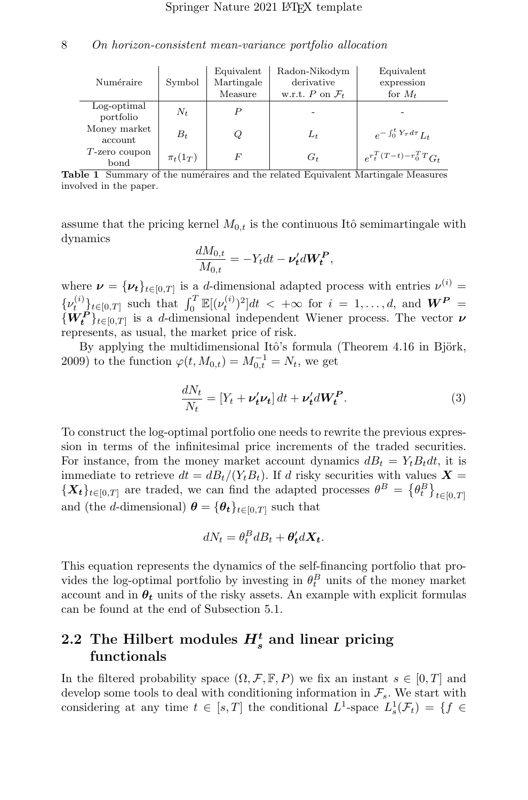| Numéraire                | Symbol       | Equivalent<br>Martingale<br>Measure | Radon-Nikodym<br>derivative<br>w.r.t. P on $\mathcal{F}_t$ | Equivalent<br>expression<br>for $M_t$ |
|--------------------------|--------------|-------------------------------------|------------------------------------------------------------|---------------------------------------|
| Log-optimal<br>portfolio | $N_t$        | P                                   |                                                            |                                       |
| Money market<br>account  | $B_t$        | Q                                   | $L_t$                                                      | $e^{-\int_0^t Y_\tau d\tau} L_t$      |
| $T$ -zero coupon<br>bond | $\pi_t(1_T)$ | F                                   | $G_t$                                                      | $e^{r_t^T(T-t)-r_0^TT}G_t$            |

<span id="page-7-1"></span>Table 1 Summary of the numéraires and the related Equivalent Martingale Measures involved in the paper.

assume that the pricing kernel  $M_{0,t}$  is the continuous Itô semimartingale with dynamics

$$
\frac{dM_{0,t}}{M_{0,t}} = -Y_t dt - \nu'_t dW_t^P,
$$

where  $\nu = {\nu_t}_{t \in [0,T]}$  is a d-dimensional adapted process with entries  $\nu^{(i)} =$  $\{\nu_t^{(i)}\}_{t\in[0,T]}$  such that  $\int_0^T \mathbb{E}[(\nu_t^{(i)})^2]dt < +\infty$  for  $i = 1,\ldots,d$ , and  $W^P =$  $\{W_t^P\}_{t\in[0,T]}$  is a d-dimensional independent Wiener process. The vector  $\nu$ represents, as usual, the market price of risk.

By applying the multidimensional Itô's formula (Theorem  $4.16$  in Björk, [2009\)](#page-36-7) to the function  $\varphi(t, M_{0,t}) = M_{0,t}^{-1} = N_t$ , we get

<span id="page-7-2"></span>
$$
\frac{dN_t}{N_t} = \left[Y_t + \nu'_t \nu_t\right] dt + \nu'_t dW_t^P. \tag{3}
$$

To construct the log-optimal portfolio one needs to rewrite the previous expression in terms of the infinitesimal price increments of the traded securities. For instance, from the money market account dynamics  $dB_t = Y_t B_t dt$ , it is immediate to retrieve  $dt = dB_t/(Y_tB_t)$ . If d risky securities with values  $\mathbf{X} =$  ${X_t}_{t\in[0,T]}$  are traded, we can find the adapted processes  $\theta^B = {\theta_t^B}_{t\in[0,T]}$ and (the d-dimensional)  $\boldsymbol{\theta} = {\theta_t}_{t \in [0,T]}$  such that

$$
dN_t = \theta_t^B dB_t + \theta_t^{\prime} d\mathbf{X_t}.
$$

This equation represents the dynamics of the self-financing portfolio that provides the log-optimal portfolio by investing in  $\theta_t^B$  units of the money market account and in  $\theta_t$  units of the risky assets. An example with explicit formulas can be found at the end of Subsection [5.1.](#page-21-0)

## <span id="page-7-0"></span>2.2 The Hilbert modules  $H_s^t$  and linear pricing functionals

In the filtered probability space  $(\Omega, \mathcal{F}, \mathbb{F}, P)$  we fix an instant  $s \in [0, T]$  and develop some tools to deal with conditioning information in  $\mathcal{F}_s$ . We start with considering at any time  $t \in [s,T]$  the conditional  $L^1$ -space  $L^1_s(\mathcal{F}_t) = \{f \in$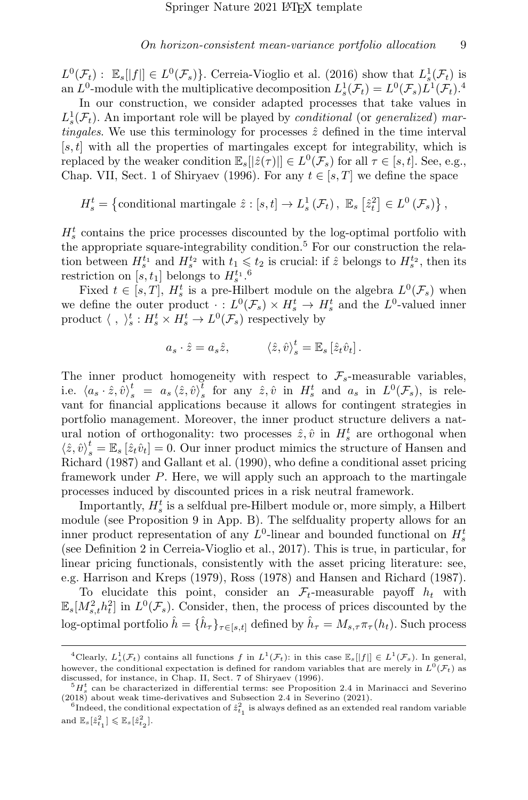$L^0(\mathcal{F}_t)$ :  $\mathbb{E}_s[|f|] \in L^0(\mathcal{F}_s)$ . [Cerreia-Vioglio et al.](#page-36-8) [\(2016\)](#page-36-8) show that  $L^1_s(\mathcal{F}_t)$  is an  $L^0$ -module with the multiplicative decomposition  $L^1_s(\mathcal{F}_t) = L^0(\mathcal{F}_s)L^1(\mathcal{F}_t)$ .<sup>[4](#page-8-0)</sup>

In our construction, we consider adapted processes that take values in  $L_s^1(\mathcal{F}_t)$ . An important role will be played by *conditional* (or *generalized*) martingales. We use this terminology for processes  $\hat{z}$  defined in the time interval  $[s, t]$  with all the properties of martingales except for integrability, which is replaced by the weaker condition  $\mathbb{E}_s[[\hat{z}(\tau)]] \in L^0(\mathcal{F}_s)$  for all  $\tau \in [s, t]$ . See, e.g., Chap. VII, Sect. 1 of [Shiryaev](#page-38-7) [\(1996\)](#page-38-7). For any  $t \in [s, T]$  we define the space

$$
H_s^t = \left\{\text{conditional martingale }\hat{z} : [s, t] \to L_s^1(\mathcal{F}_t), \ \mathbb{E}_s\left[\hat{z}_t^2\right] \in L^0(\mathcal{F}_s)\right\},\
$$

 $H_s^t$  contains the price processes discounted by the log-optimal portfolio with the appropriate square-integrability condition.<sup>[5](#page-8-1)</sup> For our construction the relation between  $H_s^{t_1}$  and  $H_s^{t_2}$  with  $t_1 \leqslant t_2$  is crucial: if  $\hat{z}$  belongs to  $H_s^{t_2}$ , then its restriction on [s, t<sub>1</sub>] belongs to  $H_s^{t_1}$ .<sup>[6](#page-8-2)</sup>

Fixed  $t \in [s, T]$ ,  $H_s^t$  is a pre-Hilbert module on the algebra  $L^0(\mathcal{F}_s)$  when we define the outer product  $\cdot : L^0(\mathcal{F}_s) \times H^t_s \to H^t_s$  and the  $L^0$ -valued inner product  $\langle , \rangle_s^t : H_s^t \times H_s^t \to L^0(\mathcal{F}_s)$  respectively by

$$
a_s \cdot \hat{z} = a_s \hat{z}, \qquad \langle \hat{z}, \hat{v} \rangle_s^t = \mathbb{E}_s \left[ \hat{z}_t \hat{v}_t \right].
$$

The inner product homogeneity with respect to  $\mathcal{F}_{s}$ -measurable variables, i.e.  $\langle a_s \cdot \hat{z}, \hat{v} \rangle_s^t = a_s \langle \hat{z}, \hat{v} \rangle_s^t$  for any  $\hat{z}, \hat{v}$  in  $H_s^t$  and  $a_s$  in  $L^0(\mathcal{F}_s)$ , is relevant for financial applications because it allows for contingent strategies in portfolio management. Moreover, the inner product structure delivers a natural notion of orthogonality: two processes  $\hat{z}, \hat{v}$  in  $H_s^t$  are orthogonal when  $\langle \hat{z}, \hat{v} \rangle_s^t = \mathbb{E}_s [\hat{z}_t \hat{v}_t] = 0$ . Our inner product mimics the structure of [Hansen and](#page-37-0) [Richard](#page-37-0) [\(1987\)](#page-37-0) and [Gallant et al.](#page-37-10) [\(1990\)](#page-37-10), who define a conditional asset pricing framework under P. Here, we will apply such an approach to the martingale processes induced by discounted prices in a risk neutral framework.

Importantly,  $H_s^t$  is a selfdual pre-Hilbert module or, more simply, a Hilbert module (see Proposition [9](#page-32-0) in App. [B\)](#page-32-1). The selfduality property allows for an inner product representation of any  $L^0$ -linear and bounded functional on  $H_s^t$ (see Definition 2 in [Cerreia-Vioglio et al., 2017\)](#page-36-0). This is true, in particular, for linear pricing functionals, consistently with the asset pricing literature: see, e.g. [Harrison and Kreps](#page-37-4) [\(1979\)](#page-37-4), [Ross](#page-38-8) [\(1978\)](#page-38-8) and [Hansen and Richard](#page-37-0) [\(1987\)](#page-37-0).

To elucidate this point, consider an  $\mathcal{F}_t$ -measurable payoff  $h_t$  with  $\mathbb{E}_s[M_{s,t}^2 h_t^2]$  in  $L^0(\mathcal{F}_s)$ . Consider, then, the process of prices discounted by the log-optimal portfolio  $\hat{h} = \{\hat{h}_{\tau}\}_{\tau \in [s,t]}$  defined by  $\hat{h}_{\tau} = M_{s,\tau} \pi_{\tau}(h_t)$ . Such process

<span id="page-8-0"></span><sup>&</sup>lt;sup>4</sup>Clearly,  $L_s^1(\mathcal{F}_t)$  contains all functions f in  $L^1(\mathcal{F}_t)$ : in this case  $\mathbb{E}_s[[f]] \in L^1(\mathcal{F}_s)$ . In general, however, the conditional expectation is defined for random variables that are merely in  $L^0(\mathcal{F}_t)$  as discussed, for instance, in Chap. II, Sect. 7 of [Shiryaev](#page-38-7) [\(1996\)](#page-38-7).

<span id="page-8-1"></span> ${}^{5}H_{s}^{t}$  can be characterized in differential terms: see Proposition 2.4 in [Marinacci and Severino](#page-37-12) [\(2018\)](#page-37-12) about weak time-derivatives and Subsection 2.4 in [Severino](#page-38-9) [\(2021\)](#page-38-9).

<span id="page-8-2"></span> ${}^6$ Indeed, the conditional expectation of  $\hat{z}_{t_1}^2$  is always defined as an extended real random variable and  $\mathbb{E}_s[\hat{z}_{t_1}^2] \leq \mathbb{E}_s[\hat{z}_{t_2}^2]$ .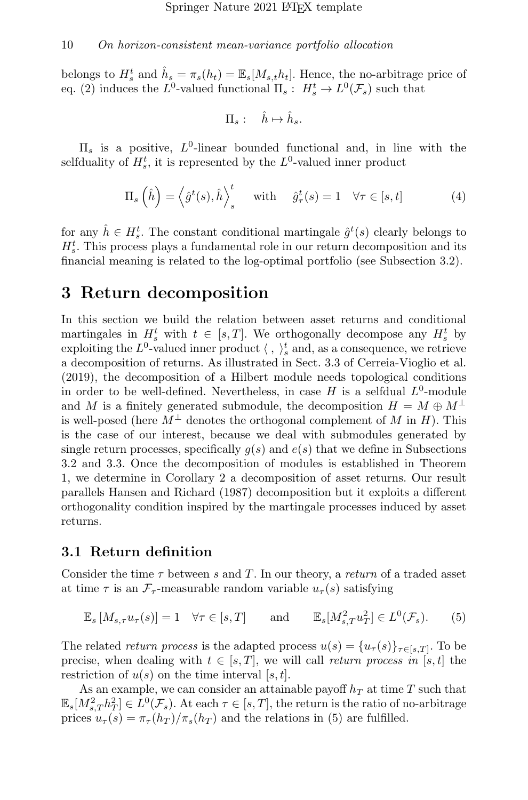belongs to  $H_s^t$  and  $\hat{h}_s = \pi_s(h_t) = \mathbb{E}_s[M_{s,t}h_t]$ . Hence, the no-arbitrage price of eq. [\(2\)](#page-6-3) induces the  $L^0$ -valued functional  $\Pi_s: H^t_s \to L^0(\mathcal{F}_s)$  such that

$$
\Pi_s: \quad \hat{h} \mapsto \hat{h}_s.
$$

 $\Pi_s$  is a positive,  $L^0$ -linear bounded functional and, in line with the selfduality of  $H_s^t$ , it is represented by the  $L^0$ -valued inner product

<span id="page-9-1"></span>
$$
\Pi_s\left(\hat{h}\right) = \left\langle \hat{g}^t(s), \hat{h} \right\rangle_s^t \quad \text{with} \quad \hat{g}^t_\tau(s) = 1 \quad \forall \tau \in [s, t] \tag{4}
$$

for any  $\hat{h} \in H_s^t$ . The constant conditional martingale  $\hat{g}^t(s)$  clearly belongs to  $H_s^t$ . This process plays a fundamental role in our return decomposition and its financial meaning is related to the log-optimal portfolio (see Subsection [3.2\)](#page-10-0).

## <span id="page-9-2"></span>3 Return decomposition

In this section we build the relation between asset returns and conditional martingales in  $H_s^t$  with  $t \in [s,T]$ . We orthogonally decompose any  $H_s^t$  by exploiting the  $L^0$ -valued inner product  $\langle , \rangle_s^t$  and, as a consequence, we retrieve a decomposition of returns. As illustrated in Sect. 3.3 of [Cerreia-Vioglio et al.](#page-36-9) [\(2019\)](#page-36-9), the decomposition of a Hilbert module needs topological conditions in order to be well-defined. Nevertheless, in case  $H$  is a selfdual  $L^0$ -module and M is a finitely generated submodule, the decomposition  $H = M \oplus M^{\perp}$ is well-posed (here  $M^{\perp}$  denotes the orthogonal complement of M in H). This is the case of our interest, because we deal with submodules generated by single return processes, specifically  $q(s)$  and  $e(s)$  that we define in Subsections [3.2](#page-10-0) and [3.3.](#page-11-0) Once the decomposition of modules is established in Theorem [1,](#page-12-0) we determine in Corollary [2](#page-13-0) a decomposition of asset returns. Our result parallels [Hansen and Richard](#page-37-0) [\(1987\)](#page-37-0) decomposition but it exploits a different orthogonality condition inspired by the martingale processes induced by asset returns.

#### 3.1 Return definition

Consider the time  $\tau$  between s and T. In our theory, a return of a traded asset at time  $\tau$  is an  $\mathcal{F}_{\tau}$ -measurable random variable  $u_{\tau}(s)$  satisfying

<span id="page-9-0"></span>
$$
\mathbb{E}_s \left[ M_{s,\tau} u_\tau(s) \right] = 1 \quad \forall \tau \in [s, T] \quad \text{and} \quad \mathbb{E}_s \left[ M_{s,T}^2 u_T^2 \right] \in L^0(\mathcal{F}_s). \tag{5}
$$

The related return process is the adapted process  $u(s) = \{u_\tau(s)\}_{\tau \in [s,T]}$ . To be precise, when dealing with  $t \in [s, T]$ , we will call return process in [s, t] the restriction of  $u(s)$  on the time interval [s, t].

As an example, we can consider an attainable payoff  $h_T$  at time T such that  $\mathbb{E}_s[M_{s,T}^2 h_T^2] \in L^0(\mathcal{F}_s)$ . At each  $\tau \in [s,T]$ , the return is the ratio of no-arbitrage prices  $u_{\tau}(s) = \pi_{\tau}(h_T)/\pi_s(h_T)$  and the relations in [\(5\)](#page-9-0) are fulfilled.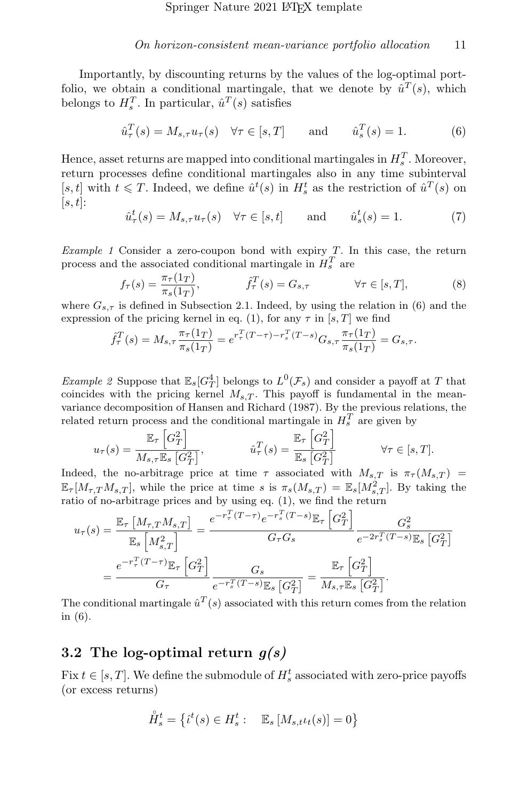Importantly, by discounting returns by the values of the log-optimal portfolio, we obtain a conditional martingale, that we denote by  $\hat{u}^T(s)$ , which belongs to  $H_s^T$ . In particular,  $\hat{u}^T(s)$  satisfies

<span id="page-10-1"></span>
$$
\hat{u}_{\tau}^{T}(s) = M_{s,\tau} u_{\tau}(s) \quad \forall \tau \in [s,T] \quad \text{and} \quad \hat{u}_{s}^{T}(s) = 1. \quad (6)
$$

Hence, asset returns are mapped into conditional martingales in  $H_s^T$ . Moreover, return processes define conditional martingales also in any time subinterval [s, t] with  $t \leq T$ . Indeed, we define  $\hat{u}^t(s)$  in  $H_s^t$  as the restriction of  $\hat{u}^T(s)$  on  $[s, t]$ :

<span id="page-10-2"></span>
$$
\hat{u}^t_\tau(s) = M_{s,\tau} u_\tau(s) \quad \forall \tau \in [s,t] \quad \text{and} \quad \hat{u}^t_s(s) = 1. \tag{7}
$$

Example 1 Consider a zero-coupon bond with expiry  $T$ . In this case, the return process and the associated conditional martingale in  $H_s^T$  are

<span id="page-10-3"></span>
$$
f_{\tau}(s) = \frac{\pi_{\tau}(1_T)}{\pi_s(1_T)}, \qquad \hat{f}_{\tau}^T(s) = G_{s,\tau} \qquad \forall \tau \in [s,T], \qquad (8)
$$

where  $G_{s,\tau}$  is defined in Subsection [2.1.](#page-5-0) Indeed, by using the relation in [\(6\)](#page-10-1) and the expression of the pricing kernel in eq. [\(1\)](#page-6-4), for any  $\tau$  in [s, T] we find

$$
\hat{f}_{\tau}^{T}(s) = M_{s,\tau} \frac{\pi_{\tau}(1_{T})}{\pi_{s}(1_{T})} = e^{r_{\tau}^{T}(T-\tau)-r_{s}^{T}(T-s)} G_{s,\tau} \frac{\pi_{\tau}(1_{T})}{\pi_{s}(1_{T})} = G_{s,\tau}.
$$

*Example 2* Suppose that  $\mathbb{E}_s[G_T^4]$  belongs to  $L^0(\mathcal{F}_s)$  and consider a payoff at T that coincides with the pricing kernel  $M_{s,T}$ . This payoff is fundamental in the meanvariance decomposition of [Hansen and Richard](#page-37-0) [\(1987\)](#page-37-0). By the previous relations, the related return process and the conditional martingale in  $H_s^T$  are given by

$$
u_{\tau}(s) = \frac{\mathbb{E}_{\tau} \left[ G_T^2 \right]}{M_{s,\tau} \mathbb{E}_s \left[ G_T^2 \right]}, \qquad \hat{u}_{\tau}^T(s) = \frac{\mathbb{E}_{\tau} \left[ G_T^2 \right]}{\mathbb{E}_s \left[ G_T^2 \right]} \qquad \forall \tau \in [s, T].
$$

Indeed, the no-arbitrage price at time  $\tau$  associated with  $M_{s,T}$  is  $\pi_{\tau}(M_{s,T}) =$  $\mathbb{E}_{\tau}[M_{\tau,T}M_{s,T}],$  while the price at time s is  $\pi_s(M_{s,T}) = \mathbb{E}_{s}[M_{s,T}^2].$  By taking the ratio of no-arbitrage prices and by using eq. [\(1\)](#page-6-4), we find the return

$$
u_{\tau}(s) = \frac{\mathbb{E}_{\tau} \left[ M_{\tau,T} M_{s,T} \right]}{\mathbb{E}_{s} \left[ M_{s,T}^2 \right]} = \frac{e^{-r_{\tau}^T (T-\tau)} e^{-r_s^T (T-s)} \mathbb{E}_{\tau} \left[ G_T^2 \right]}{G_{\tau} G_s} e^{-2r_s^T (T-s)} \mathbb{E}_{s} \left[ G_T^2 \right]}
$$
  
= 
$$
\frac{e^{-r_{\tau}^T (T-\tau)} \mathbb{E}_{\tau} \left[ G_T^2 \right]}{G_{\tau}} e^{-r_s^T (T-s)} \mathbb{E}_{s} \left[ G_T^2 \right]} = \frac{\mathbb{E}_{\tau} \left[ G_T^2 \right]}{M_{s,\tau} \mathbb{E}_{s} \left[ G_T^2 \right]}.
$$

The conditional martingale  $\hat{u}^T(s)$  associated with this return comes from the relation in [\(6\)](#page-10-1).

### <span id="page-10-0"></span>3.2 The log-optimal return  $g(s)$

Fix  $t \in [s, T]$ . We define the submodule of  $H_s^t$  associated with zero-price payoffs (or excess returns)

$$
\mathring{H}_s^t = \left\{ \mathring{\iota}^t(s) \in H_s^t : \mathbb{E}_s \left[ M_{s,t} \iota_t(s) \right] = 0 \right\}
$$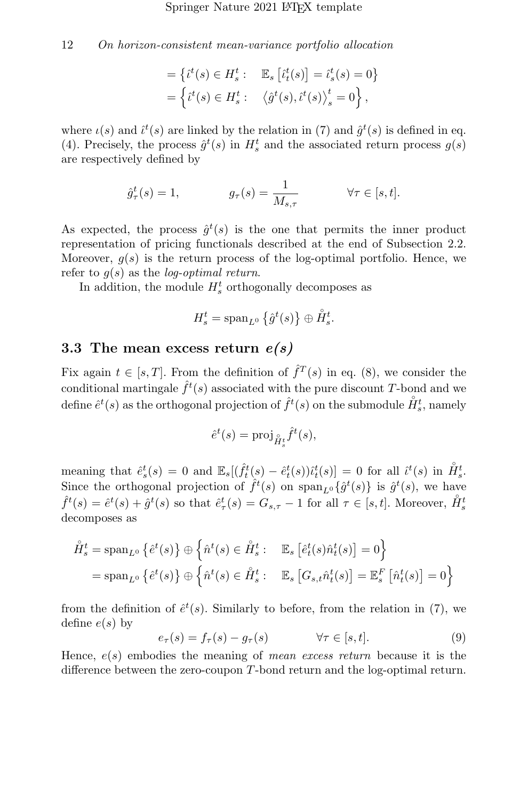$$
= \left\{ \begin{aligned} \dot{\iota}^t(s) \in H_s^t : & \mathbb{E}_s \left[ \dot{\iota}_t^t(s) \right] = \dot{\iota}_s^t(s) = 0 \right\} \\ = \left\{ \dot{\iota}^t(s) \in H_s^t : & \left\langle \hat{g}^t(s), \dot{\iota}^t(s) \right\rangle_s^t = 0 \right\}, \end{aligned}
$$

where  $\iota(s)$  and  $\hat{\iota}^t(s)$  are linked by the relation in [\(7\)](#page-10-2) and  $\hat{g}^t(s)$  is defined in eq. [\(4\)](#page-9-1). Precisely, the process  $\hat{g}^t(s)$  in  $H_s^t$  and the associated return process  $g(s)$ are respectively defined by

$$
\hat{g}_{\tau}^{t}(s) = 1, \qquad g_{\tau}(s) = \frac{1}{M_{s,\tau}} \qquad \forall \tau \in [s,t].
$$

As expected, the process  $\hat{g}^t(s)$  is the one that permits the inner product representation of pricing functionals described at the end of Subsection [2.2.](#page-7-0) Moreover,  $g(s)$  is the return process of the log-optimal portfolio. Hence, we refer to  $q(s)$  as the *log-optimal return*.

In addition, the module  $H_s^t$  orthogonally decomposes as

$$
H_s^t = \operatorname{span}_{L^0} \left\{ \hat{g}^t(s) \right\} \oplus \overset{\circ}{H}_s^t.
$$

### <span id="page-11-0"></span>3.3 The mean excess return  $e(s)$

Fix again  $t \in [s, T]$ . From the definition of  $\hat{f}^T(s)$  in eq. [\(8\)](#page-10-3), we consider the conditional martingale  $\hat{f}^t(s)$  associated with the pure discount T-bond and we define  $\hat{e}^t(s)$  as the orthogonal projection of  $\hat{f}^t(s)$  on the submodule  $\mathring{H}_s^t$ , namely

$$
\hat{e}^t(s) = \text{proj}_{\hat{H}_s^t} \hat{f}^t(s),
$$

meaning that  $\hat{e}_s^t(s) = 0$  and  $\mathbb{E}_s[(\hat{f}_t^t(s) - \hat{e}_t^t(s))\hat{e}_t^t(s)] = 0$  for all  $\hat{t}^t(s)$  in  $\hat{H}_s^t$ . Since the orthogonal projection of  $\hat{f}^t(s)$  on  $\text{span}_{L^0}\{\hat{g}^t(s)\}\$ is  $\hat{g}^t(s)$ , we have  $\hat{f}^t(s) = \hat{e}^t(s) + \hat{g}^t(s)$  so that  $\hat{e}^t_\tau(s) = G_{s,\tau} - 1$  for all  $\tau \in [s,t]$ . Moreover,  $\hat{H}^t_s$ decomposes as

$$
\hat{H}_s^t = \text{span}_{L^0} \left\{ \hat{e}^t(s) \right\} \oplus \left\{ \hat{n}^t(s) \in \hat{H}_s^t : \mathbb{E}_s \left[ \hat{e}_t^t(s) \hat{n}_t^t(s) \right] = 0 \right\}
$$
\n
$$
= \text{span}_{L^0} \left\{ \hat{e}^t(s) \right\} \oplus \left\{ \hat{n}^t(s) \in \hat{H}_s^t : \mathbb{E}_s \left[ G_{s,t} \hat{n}_t^t(s) \right] = \mathbb{E}_s^F \left[ \hat{n}_t^t(s) \right] = 0 \right\}
$$

from the definition of  $\hat{e}^t(s)$ . Similarly to before, from the relation in [\(7\)](#page-10-2), we define  $e(s)$  by

<span id="page-11-1"></span>
$$
e_{\tau}(s) = f_{\tau}(s) - g_{\tau}(s) \qquad \forall \tau \in [s, t]. \tag{9}
$$

Hence,  $e(s)$  embodies the meaning of *mean excess return* because it is the difference between the zero-coupon T-bond return and the log-optimal return.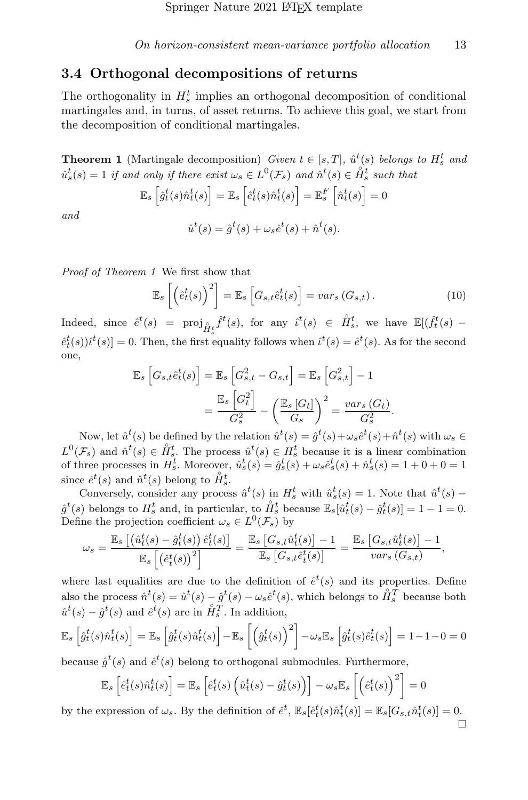#### 3.4 Orthogonal decompositions of returns

The orthogonality in  $H_s^t$  implies an orthogonal decomposition of conditional martingales and, in turns, of asset returns. To achieve this goal, we start from the decomposition of conditional martingales.

<span id="page-12-0"></span>**Theorem 1** (Martingale decomposition) Given  $t \in [s,T]$ ,  $\hat{u}^t(s)$  belongs to  $H_s^t$  and  $\hat{u}_s^t(s) = 1$  if and only if there exist  $\omega_s \in L^0(\mathcal{F}_s)$  and  $\hat{n}^t(s) \in \overset{\circ}{H}_s^t$  such that

$$
\mathbb{E}_{s} \left[ \hat{g}_{t}^{t}(s) \hat{n}_{t}^{t}(s) \right] = \mathbb{E}_{s} \left[ \hat{e}_{t}^{t}(s) \hat{n}_{t}^{t}(s) \right] = \mathbb{E}_{s}^{F} \left[ \hat{n}_{t}^{t}(s) \right] = 0
$$
  

$$
\hat{u}^{t}(s) = \hat{q}^{t}(s) + \omega_{s} \hat{e}^{t}(s) + \hat{n}^{t}(s).
$$

and

$$
\hat{u}^t(s) = \hat{g}^t(s) + \omega_s \hat{e}^t(s) + \hat{n}^t(s).
$$

Proof of Theorem [1](#page-12-0) We first show that

<span id="page-12-1"></span>
$$
\mathbb{E}_s\left[\left(\hat{e}_t^t(s)\right)^2\right] = \mathbb{E}_s\left[G_{s,t}\hat{e}_t^t(s)\right] = var_s\left(G_{s,t}\right). \tag{10}
$$

Indeed, since  $\hat{e}^t(s) = \text{proj}_{\hat{H}_s^t} \hat{f}^t(s)$ , for any  $\hat{i}^t(s) \in \hat{H}_s^t$ , we have  $\mathbb{E}[(\hat{f}_t^t(s) \hat{e}^t_t(s)$ ) $\hat{i}^t(s)$  = 0. Then, the first equality follows when  $\hat{i}^t(s) = \hat{e}^t(s)$ . As for the second one,

$$
\mathbb{E}_{s} \left[ G_{s,t} \hat{e}_{t}^{t}(s) \right] = \mathbb{E}_{s} \left[ G_{s,t}^{2} - G_{s,t} \right] = \mathbb{E}_{s} \left[ G_{s,t}^{2} \right] - 1
$$

$$
= \frac{\mathbb{E}_{s} \left[ G_{t}^{2} \right]}{G_{s}^{2}} - \left( \frac{\mathbb{E}_{s} \left[ G_{t} \right]}{G_{s}} \right)^{2} = \frac{vars\left( G_{t} \right)}{G_{s}^{2}}.
$$

Now, let  $\hat{u}^t(s)$  be defined by the relation  $\hat{u}^t(s) = \hat{g}^t(s) + \omega_s \hat{e}^t(s) + \hat{n}^t(s)$  with  $\omega_s \in$  $L^0(\mathcal{F}_s)$  and  $\hat{n}^t(s) \in \mathring{H}_s^t$ . The process  $\hat{u}^t(s) \in H_s^t$  because it is a linear combination of three processes in  $H_s^t$ . Moreover,  $\hat{u}_s^t(s) = \hat{g}_s^t(s) + \omega_s \hat{e}_s^t(s) + \hat{n}_s^t(s) = 1 + 0 + 0 = 1$ since  $\hat{e}^t(s)$  and  $\hat{n}^t(s)$  belong to  $\hat{H}_s^t$ .

Conversely, consider any process  $\hat{u}^t(s)$  in  $H_s^t$  with  $\hat{u}_s^t(s) = 1$ . Note that  $\hat{u}^t(s)$  –  $\hat{g}^t(s)$  belongs to  $H_s^t$  and, in particular, to  $\overset{\circ}{H}_s^t$  because  $\mathbb{E}_s[\hat{u}_t^t(s) - \hat{g}_t^t(s)] = 1 - 1 = 0$ . Define the projection coefficient  $\omega_s \in L^0(\mathcal{F}_s)$  by

$$
\omega_s = \frac{\mathbb{E}_s \left[ \left( \hat{u}_t^t(s) - \hat{g}_t^t(s) \right) \hat{e}_t^t(s) \right]}{\mathbb{E}_s \left[ \left( \hat{e}_t^t(s) \right)^2 \right]} = \frac{\mathbb{E}_s \left[ G_{s,t} \hat{u}_t^t(s) \right] - 1}{\mathbb{E}_s \left[ G_{s,t} \hat{e}_t^t(s) \right]} = \frac{\mathbb{E}_s \left[ G_{s,t} \hat{u}_t^t(s) \right] - 1}{var_s \left( G_{s,t} \right)},
$$

where last equalities are due to the definition of  $\hat{e}^t(s)$  and its properties. Define also the process  $\hat{n}^t(s) = \hat{u}^t(s) - \hat{g}^t(s) - \omega_s \hat{e}^t(s)$ , which belongs to  $\overset{\circ}{H}_s^T$  because both  $\hat{u}^t(s) - \hat{g}^t(s)$  and  $\hat{e}^t(s)$  are in  $\overset{\circ}{H}_s^T$ . In addition,

$$
\mathbb{E}_{s}\left[\hat{g}_{t}^{t}(s)\hat{n}_{t}^{t}(s)\right] = \mathbb{E}_{s}\left[\hat{g}_{t}^{t}(s)\hat{u}_{t}^{t}(s)\right] - \mathbb{E}_{s}\left[\left(\hat{g}_{t}^{t}(s)\right)^{2}\right] - \omega_{s}\mathbb{E}_{s}\left[\hat{g}_{t}^{t}(s)\hat{e}_{t}^{t}(s)\right] = 1 - 1 - 0 = 0
$$

because  $\hat{g}^t(s)$  and  $\hat{e}^t(s)$  belong to orthogonal submodules. Furthermore,

$$
\mathbb{E}_{s}\left[\hat{e}_{t}^{t}(s)\hat{n}_{t}^{t}(s)\right] = \mathbb{E}_{s}\left[\hat{e}_{t}^{t}(s)\left(\hat{u}_{t}^{t}(s) - \hat{g}_{t}^{t}(s)\right)\right] - \omega_{s}\mathbb{E}_{s}\left[\left(\hat{e}_{t}^{t}(s)\right)^{2}\right] = 0
$$

by the expression of  $\omega_s$ . By the definition of  $\hat{e}^t$ ,  $\mathbb{E}_s[\hat{e}_t^t(s)\hat{n}_t^t(s)] = \mathbb{E}_s[G_{s,t}\hat{n}_t^t(s)] = 0$ . □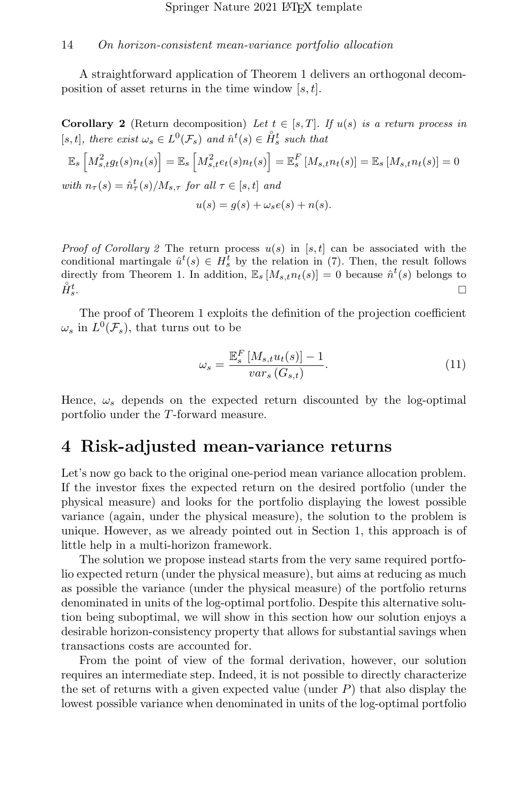A straightforward application of Theorem [1](#page-12-0) delivers an orthogonal decomposition of asset returns in the time window  $[s, t]$ .

<span id="page-13-0"></span>**Corollary 2** (Return decomposition) Let  $t \in [s, T]$ . If  $u(s)$  is a return process in [s, t], there exist  $\omega_s \in L^0(\mathcal{F}_s)$  and  $\hat{n}^t(s) \in \mathring{H}_s^t$  such that

$$
\mathbb{E}_s \left[ M_{s,t}^2 g_t(s) n_t(s) \right] = \mathbb{E}_s \left[ M_{s,t}^2 e_t(s) n_t(s) \right] = \mathbb{E}_s^F \left[ M_{s,t} n_t(s) \right] = \mathbb{E}_s \left[ M_{s,t} n_t(s) \right] = 0
$$
  
with  $n_{\tau}(s) = \hat{n}_{\tau}^t(s) / M_{s,\tau}$  for all  $\tau \in [s,t]$  and

$$
u(s) = g(s) + \omega_s e(s) + n(s).
$$

*Proof of Corollary [2](#page-13-0)* The return process  $u(s)$  in [s, t] can be associated with the conditional martingale  $\hat{u}^t(s) \in H_s^t$  by the relation in [\(7\)](#page-10-2). Then, the result follows directly from Theorem [1.](#page-12-0) In addition,  $\mathbb{E}_s [M_{s,t} n_t(s)] = 0$  because  $\hat{n}^t(s)$  belongs to  $\overset{\circ}{H}{}_{s}^{t}$  $\frac{t}{s}$ .

The proof of Theorem [1](#page-12-0) exploits the definition of the projection coefficient  $\omega_s$  in  $L^0(\mathcal{F}_s)$ , that turns out to be

<span id="page-13-1"></span>
$$
\omega_s = \frac{\mathbb{E}_s^F \left[ M_{s,t} u_t(s) \right] - 1}{var_s \left( G_{s,t} \right)}.
$$
\n(11)

Hence,  $\omega_s$  depends on the expected return discounted by the log-optimal portfolio under the T-forward measure.

## <span id="page-13-2"></span>4 Risk-adjusted mean-variance returns

Let's now go back to the original one-period mean variance allocation problem. If the investor fixes the expected return on the desired portfolio (under the physical measure) and looks for the portfolio displaying the lowest possible variance (again, under the physical measure), the solution to the problem is unique. However, as we already pointed out in Section [1,](#page-1-0) this approach is of little help in a multi-horizon framework.

The solution we propose instead starts from the very same required portfolio expected return (under the physical measure), but aims at reducing as much as possible the variance (under the physical measure) of the portfolio returns denominated in units of the log-optimal portfolio. Despite this alternative solution being suboptimal, we will show in this section how our solution enjoys a desirable horizon-consistency property that allows for substantial savings when transactions costs are accounted for.

From the point of view of the formal derivation, however, our solution requires an intermediate step. Indeed, it is not possible to directly characterize the set of returns with a given expected value (under  $P$ ) that also display the lowest possible variance when denominated in units of the log-optimal portfolio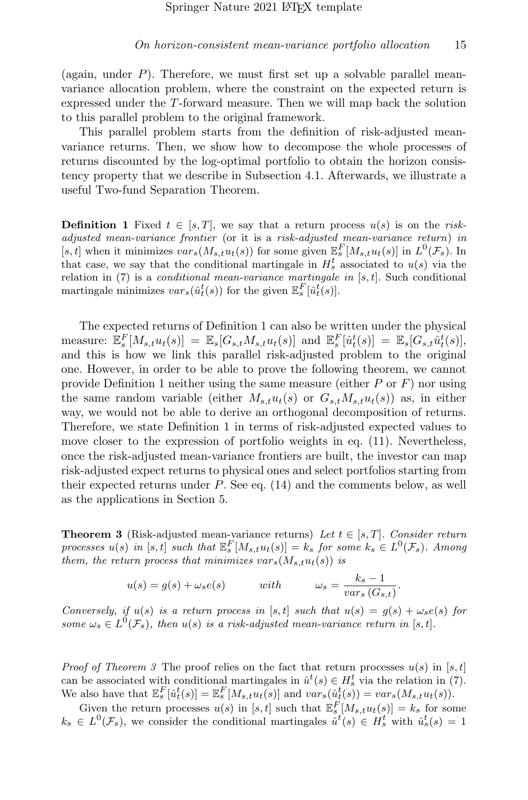(again, under  $P$ ). Therefore, we must first set up a solvable parallel meanvariance allocation problem, where the constraint on the expected return is expressed under the T-forward measure. Then we will map back the solution to this parallel problem to the original framework.

This parallel problem starts from the definition of risk-adjusted meanvariance returns. Then, we show how to decompose the whole processes of returns discounted by the log-optimal portfolio to obtain the horizon consistency property that we describe in Subsection [4.1.](#page-16-0) Afterwards, we illustrate a useful Two-fund Separation Theorem.

<span id="page-14-1"></span>**Definition 1** Fixed  $t \in [s, T]$ , we say that a return process  $u(s)$  is on the riskadjusted mean-variance frontier (or it is a risk-adjusted mean-variance return) in [s, t] when it minimizes  $var_s(M_{s,t}u_t(s))$  for some given  $\mathbb{E}_s^F[M_{s,t}u_t(s)]$  in  $L^0(\mathcal{F}_s)$ . In that case, we say that the conditional martingale in  $H_s^t$  associated to  $u(s)$  via the relation in  $(7)$  is a *conditional mean-variance martingale in* [s, t]. Such conditional martingale minimizes  $var_s(\hat{u}_t^t(s))$  for the given  $\mathbb{E}_s^F[\hat{u}_t^t(s)]$ .

The expected returns of Definition [1](#page-14-1) can also be written under the physical measure:  $\mathbb{E}_s^F[M_{s,t}u_t(s)] = \mathbb{E}_s[G_{s,t}M_{s,t}u_t(s)]$  and  $\mathbb{E}_s^F[\hat{u}_t^t(s)] = \mathbb{E}_s[G_{s,t}\hat{u}_t^t(s)],$ and this is how we link this parallel risk-adjusted problem to the original one. However, in order to be able to prove the following theorem, we cannot provide Definition [1](#page-14-1) neither using the same measure (either  $P$  or  $F$ ) nor using the same random variable (either  $M_{s,t}u_t(s)$  or  $G_{s,t}M_{s,t}u_t(s)$ ) as, in either way, we would not be able to derive an orthogonal decomposition of returns. Therefore, we state Definition [1](#page-14-1) in terms of risk-adjusted expected values to move closer to the expression of portfolio weights in eq. [\(11\)](#page-13-1). Nevertheless, once the risk-adjusted mean-variance frontiers are built, the investor can map risk-adjusted expect returns to physical ones and select portfolios starting from their expected returns under  $P$ . See eq.  $(14)$  and the comments below, as well as the applications in Section [5.](#page-18-0)

<span id="page-14-0"></span>**Theorem 3** (Risk-adjusted mean-variance returns) Let  $t \in [s, T]$ . Consider return processes  $u(s)$  in [s, t] such that  $\mathbb{E}_{s}^{F}[M_{s,t}u_{t}(s)]=k_{s}$  for some  $k_{s}\in L^{0}(\mathcal{F}_{s})$ . Among them, the return process that minimizes  $var_s(M_{s,t}u_t(s))$  is

$$
u(s) = g(s) + \omega_s e(s) \qquad \text{with} \qquad \omega_s = \frac{k_s - 1}{var_s (G_{s,t})}.
$$

Conversely, if  $u(s)$  is a return process in [s, t] such that  $u(s) = g(s) + \omega_s e(s)$  for some  $\omega_s \in L^0(\mathcal{F}_s)$ , then  $u(s)$  is a risk-adjusted mean-variance return in [s,t].

*Proof of Theorem [3](#page-14-0)* The proof relies on the fact that return processes  $u(s)$  in [s, t] can be associated with conditional martingales in  $\hat{u}^t(s) \in H_s^t$  via the relation in [\(7\)](#page-10-2). We also have that  $\mathbb{E}_{s}^{F}[\hat{u}_{t}^{t}(s)] = \mathbb{E}_{s}^{F}[M_{s,t}u_{t}(s)]$  and  $var_{s}(\hat{u}_{t}^{t}(s)) = var_{s}(M_{s,t}u_{t}(s))$ .

Given the return processes  $u(s)$  in [s, t] such that  $\mathbb{E}_{s}^{F}[M_{s,t}u_{t}(s)] = k_{s}$  for some  $k_s \in L^0(\mathcal{F}_s)$ , we consider the conditional martingales  $\hat{u}^t(s) \in H_s^t$  with  $\hat{u}_s^t(s) = 1$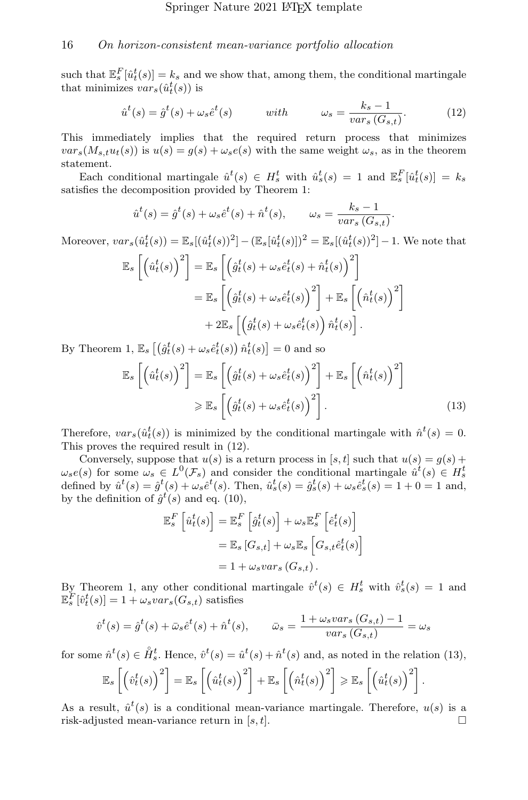such that  $\mathbb{E}_s^F[\hat{u}_t^t(s)] = k_s$  and we show that, among them, the conditional martingale that minimizes  $vars(\hat{u}_t^t(s))$  is

<span id="page-15-0"></span>
$$
\hat{u}^t(s) = \hat{g}^t(s) + \omega_s \hat{e}^t(s) \qquad \text{with} \qquad \omega_s = \frac{k_s - 1}{var_s(G_{s,t})}.\tag{12}
$$

<span id="page-15-1"></span>.

This immediately implies that the required return process that minimizes  $var<sub>s</sub>(M<sub>s,t</sub>u<sub>t</sub>(s))$  is  $u(s) = g(s) + \omega<sub>s</sub>e(s)$  with the same weight  $\omega<sub>s</sub>$ , as in the theorem statement.

Each conditional martingale  $\hat{u}^t(s) \in H_s^t$  with  $\hat{u}_s^t(s) = 1$  and  $\mathbb{E}_s^F[\hat{u}_t^t(s)] = k_s$ satisfies the decomposition provided by Theorem [1:](#page-12-0)

$$
\hat{u}^t(s) = \hat{g}^t(s) + \omega_s \hat{e}^t(s) + \hat{n}^t(s), \qquad \omega_s = \frac{k_s - 1}{var_s(G_{s,t})}
$$

Moreover,  $var_s(\hat{u}_t^t(s)) = \mathbb{E}_s[(\hat{u}_t^t(s))^2] - (\mathbb{E}_s[\hat{u}_t^t(s)])^2 = \mathbb{E}_s[(\hat{u}_t^t(s))^2] - 1$ . We note that

$$
\mathbb{E}_{s}\left[\left(\hat{u}_{t}^{t}(s)\right)^{2}\right] = \mathbb{E}_{s}\left[\left(\hat{g}_{t}^{t}(s) + \omega_{s}\hat{e}_{t}^{t}(s) + \hat{n}_{t}^{t}(s)\right)^{2}\right]
$$

$$
= \mathbb{E}_{s}\left[\left(\hat{g}_{t}^{t}(s) + \omega_{s}\hat{e}_{t}^{t}(s)\right)^{2}\right] + \mathbb{E}_{s}\left[\left(\hat{n}_{t}^{t}(s)\right)^{2}\right]
$$

$$
+ 2\mathbb{E}_{s}\left[\left(\hat{g}_{t}^{t}(s) + \omega_{s}\hat{e}_{t}^{t}(s)\right)\hat{n}_{t}^{t}(s)\right].
$$

By Theorem [1,](#page-12-0)  $\mathbb{E}_s \left[ \left( \hat{g}_t^t(s) + \omega_s \hat{e}_t^t(s) \right) \hat{n}_t^t(s) \right] = 0$  and so

$$
\mathbb{E}_{s}\left[\left(\hat{u}_{t}^{t}(s)\right)^{2}\right] = \mathbb{E}_{s}\left[\left(\hat{g}_{t}^{t}(s) + \omega_{s}\hat{e}_{t}^{t}(s)\right)^{2}\right] + \mathbb{E}_{s}\left[\left(\hat{n}_{t}^{t}(s)\right)^{2}\right] \geq \mathbb{E}_{s}\left[\left(\hat{g}_{t}^{t}(s) + \omega_{s}\hat{e}_{t}^{t}(s)\right)^{2}\right].
$$
\n(13)

Therefore,  $var_s(\hat{u}_t^t(s))$  is minimized by the conditional martingale with  $\hat{n}^t(s) = 0$ . This proves the required result in [\(12\)](#page-15-0).

Conversely, suppose that  $u(s)$  is a return process in [s, t] such that  $u(s) = g(s) +$  $\omega_s e(s)$  for some  $\omega_s \in L^0(\mathcal{F}_s)$  and consider the conditional martingale  $\hat{u}^t(s) \in H_s^t$ defined by  $\hat{u}^t(s) = \hat{g}^t(s) + \omega_s \hat{e}^t(s)$ . Then,  $\hat{u}^t_s(s) = \hat{g}^t_s(s) + \omega_s \hat{e}^t_s(s) = 1 + 0 = 1$  and, by the definition of  $\hat{g}^t(s)$  and eq. [\(10\)](#page-12-1),

$$
\mathbb{E}_{s}^{F}\left[\hat{u}_{t}^{t}(s)\right] = \mathbb{E}_{s}^{F}\left[\hat{g}_{t}^{t}(s)\right] + \omega_{s}\mathbb{E}_{s}^{F}\left[\hat{e}_{t}^{t}(s)\right]
$$

$$
= \mathbb{E}_{s}\left[G_{s,t}\right] + \omega_{s}\mathbb{E}_{s}\left[G_{s,t}\hat{e}_{t}^{t}(s)\right]
$$

$$
= 1 + \omega_{s}var_{s}\left(G_{s,t}\right).
$$

By Theorem [1,](#page-12-0) any other conditional martingale  $\hat{v}^t(s) \in H_s^t$  with  $\hat{v}_s^t(s) = 1$  and  $\mathbb{E}_{s}^{\overline{F}}[\hat{v}_{t}^{t}(s)] = 1 + \omega_{s} var_{s}(G_{s,t})$  satisfies

$$
\hat{v}^t(s) = \hat{g}^t(s) + \bar{\omega}_s \hat{e}^t(s) + \hat{n}^t(s), \qquad \bar{\omega}_s = \frac{1 + \omega_s \operatorname{vars}(G_{s,t}) - 1}{\operatorname{vars}(G_{s,t})} = \omega_s
$$

for some  $\hat{n}^t(s) \in \mathring{H}_s^t$ . Hence,  $\hat{v}^t(s) = \hat{u}^t(s) + \hat{n}^t(s)$  and, as noted in the relation [\(13\)](#page-15-1),

$$
\mathbb{E}_{s}\left[\left(\hat{v}_{t}^{t}(s)\right)^{2}\right]=\mathbb{E}_{s}\left[\left(\hat{u}_{t}^{t}(s)\right)^{2}\right]+\mathbb{E}_{s}\left[\left(\hat{n}_{t}^{t}(s)\right)^{2}\right]\geq\mathbb{E}_{s}\left[\left(\hat{u}_{t}^{t}(s)\right)^{2}\right].
$$

As a result,  $\hat{u}^t(s)$  is a conditional mean-variance martingale. Therefore,  $u(s)$  is a risk-adjusted mean-variance return in [s, t].  $\Box$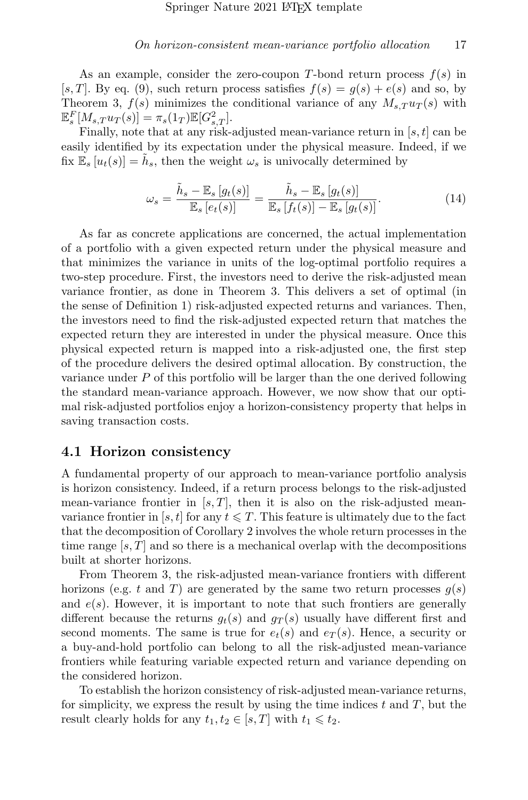As an example, consider the zero-coupon T-bond return process  $f(s)$  in [s, T]. By eq. [\(9\)](#page-11-1), such return process satisfies  $f(s) = g(s) + e(s)$  and so, by Theorem [3,](#page-14-0)  $f(s)$  minimizes the conditional variance of any  $M_{s,T}u_T(s)$  with  $\mathbb{E}_{s}^{F}[M_{s,T}u_{T}(s)] = \pi_{s}(1_{T})\mathbb{E}[G_{s,T}^{2}].$ 

Finally, note that at any risk-adjusted mean-variance return in  $[s, t]$  can be easily identified by its expectation under the physical measure. Indeed, if we fix  $\mathbb{E}_s[u_t(s)] = \tilde{h}_s$ , then the weight  $\omega_s$  is univocally determined by

<span id="page-16-1"></span>
$$
\omega_s = \frac{\tilde{h}_s - \mathbb{E}_s [g_t(s)]}{\mathbb{E}_s [e_t(s)]} = \frac{\tilde{h}_s - \mathbb{E}_s [g_t(s)]}{\mathbb{E}_s [f_t(s)] - \mathbb{E}_s [g_t(s)]}.
$$
\n(14)

As far as concrete applications are concerned, the actual implementation of a portfolio with a given expected return under the physical measure and that minimizes the variance in units of the log-optimal portfolio requires a two-step procedure. First, the investors need to derive the risk-adjusted mean variance frontier, as done in Theorem [3.](#page-14-0) This delivers a set of optimal (in the sense of Definition [1\)](#page-14-1) risk-adjusted expected returns and variances. Then, the investors need to find the risk-adjusted expected return that matches the expected return they are interested in under the physical measure. Once this physical expected return is mapped into a risk-adjusted one, the first step of the procedure delivers the desired optimal allocation. By construction, the variance under  $P$  of this portfolio will be larger than the one derived following the standard mean-variance approach. However, we now show that our optimal risk-adjusted portfolios enjoy a horizon-consistency property that helps in saving transaction costs.

#### <span id="page-16-0"></span>4.1 Horizon consistency

A fundamental property of our approach to mean-variance portfolio analysis is horizon consistency. Indeed, if a return process belongs to the risk-adjusted mean-variance frontier in  $[s, T]$ , then it is also on the risk-adjusted meanvariance frontier in [s, t] for any  $t \leq T$ . This feature is ultimately due to the fact that the decomposition of Corollary [2](#page-13-0) involves the whole return processes in the time range  $[s, T]$  and so there is a mechanical overlap with the decompositions built at shorter horizons.

From Theorem [3,](#page-14-0) the risk-adjusted mean-variance frontiers with different horizons (e.g. t and T) are generated by the same two return processes  $g(s)$ and  $e(s)$ . However, it is important to note that such frontiers are generally different because the returns  $g_t(s)$  and  $g_T(s)$  usually have different first and second moments. The same is true for  $e_t(s)$  and  $e_T(s)$ . Hence, a security or a buy-and-hold portfolio can belong to all the risk-adjusted mean-variance frontiers while featuring variable expected return and variance depending on the considered horizon.

To establish the horizon consistency of risk-adjusted mean-variance returns, for simplicity, we express the result by using the time indices  $t$  and  $T$ , but the result clearly holds for any  $t_1, t_2 \in [s, T]$  with  $t_1 \leq t_2$ .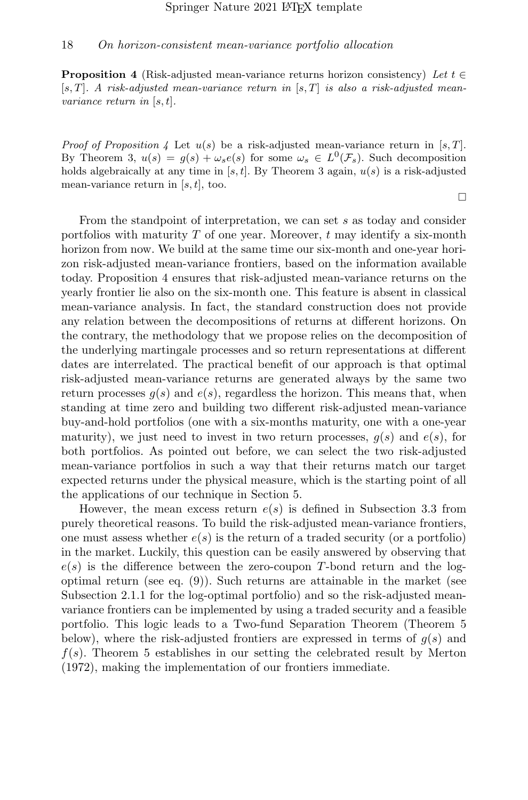<span id="page-17-0"></span>**Proposition 4** (Risk-adjusted mean-variance returns horizon consistency) Let  $t \in$  $[s, T]$ . A risk-adjusted mean-variance return in  $[s, T]$  is also a risk-adjusted meanvariance return in [s, t].

*Proof of Proposition [4](#page-17-0)* Let  $u(s)$  be a risk-adjusted mean-variance return in [s, T]. By Theorem [3,](#page-14-0)  $u(s) = g(s) + \omega_s e(s)$  for some  $\omega_s \in L^0(\mathcal{F}_s)$ . Such decomposition holds algebraically at any time in [s, t]. By Theorem [3](#page-14-0) again,  $u(s)$  is a risk-adjusted mean-variance return in  $[s, t]$ , too.

□

From the standpoint of interpretation, we can set s as today and consider portfolios with maturity  $T$  of one year. Moreover,  $t$  may identify a six-month horizon from now. We build at the same time our six-month and one-year horizon risk-adjusted mean-variance frontiers, based on the information available today. Proposition [4](#page-17-0) ensures that risk-adjusted mean-variance returns on the yearly frontier lie also on the six-month one. This feature is absent in classical mean-variance analysis. In fact, the standard construction does not provide any relation between the decompositions of returns at different horizons. On the contrary, the methodology that we propose relies on the decomposition of the underlying martingale processes and so return representations at different dates are interrelated. The practical benefit of our approach is that optimal risk-adjusted mean-variance returns are generated always by the same two return processes  $q(s)$  and  $e(s)$ , regardless the horizon. This means that, when standing at time zero and building two different risk-adjusted mean-variance buy-and-hold portfolios (one with a six-months maturity, one with a one-year maturity), we just need to invest in two return processes,  $q(s)$  and  $e(s)$ , for both portfolios. As pointed out before, we can select the two risk-adjusted mean-variance portfolios in such a way that their returns match our target expected returns under the physical measure, which is the starting point of all the applications of our technique in Section [5.](#page-18-0)

However, the mean excess return  $e(s)$  is defined in Subsection [3.3](#page-11-0) from purely theoretical reasons. To build the risk-adjusted mean-variance frontiers, one must assess whether  $e(s)$  is the return of a traded security (or a portfolio) in the market. Luckily, this question can be easily answered by observing that  $e(s)$  is the difference between the zero-coupon T-bond return and the logoptimal return (see eq. [\(9\)](#page-11-1)). Such returns are attainable in the market (see Subsection [2.1.1](#page-6-0) for the log-optimal portfolio) and so the risk-adjusted meanvariance frontiers can be implemented by using a traded security and a feasible portfolio. This logic leads to a Two-fund Separation Theorem (Theorem [5](#page-18-1) below), where the risk-adjusted frontiers are expressed in terms of  $q(s)$  and  $f(s)$ . Theorem [5](#page-18-1) establishes in our setting the celebrated result by [Merton](#page-38-10) [\(1972\)](#page-38-10), making the implementation of our frontiers immediate.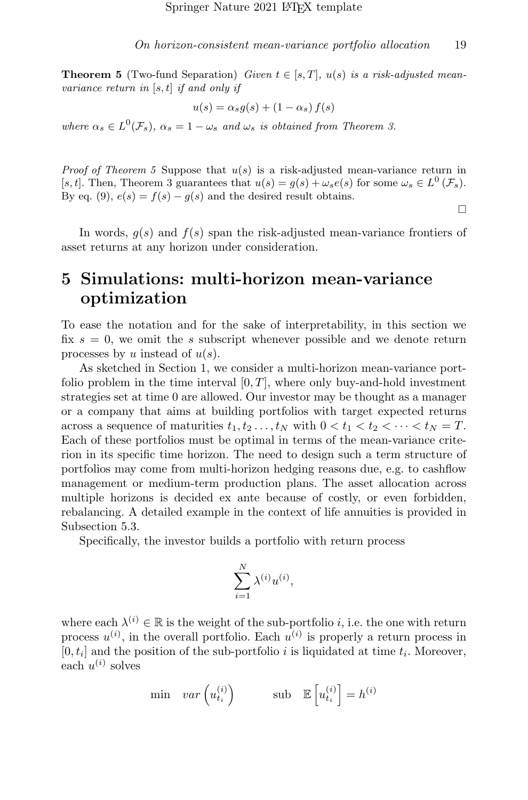<span id="page-18-1"></span>**Theorem 5** (Two-fund Separation) Given  $t \in [s, T]$ ,  $u(s)$  is a risk-adjusted meanvariance return in  $[s, t]$  if and only if

$$
u(s) = \alpha_s g(s) + (1 - \alpha_s) f(s)
$$

where  $\alpha_s \in L^0(\mathcal{F}_s)$ ,  $\alpha_s = 1 - \omega_s$  and  $\omega_s$  is obtained from Theorem [3.](#page-14-0)

*Proof of Theorem [5](#page-18-1)* Suppose that  $u(s)$  is a risk-adjusted mean-variance return in [s, t]. Then, Theorem [3](#page-14-0) guarantees that  $u(s) = g(s) + \omega_s e(s)$  for some  $\omega_s \in L^0(\mathcal{F}_s)$ . By eq. [\(9\)](#page-11-1),  $e(s) = f(s) - g(s)$  and the desired result obtains.

□

In words,  $g(s)$  and  $f(s)$  span the risk-adjusted mean-variance frontiers of asset returns at any horizon under consideration.

## <span id="page-18-0"></span>5 Simulations: multi-horizon mean-variance optimization

To ease the notation and for the sake of interpretability, in this section we fix  $s = 0$ , we omit the s subscript whenever possible and we denote return processes by u instead of  $u(s)$ .

As sketched in Section [1,](#page-1-0) we consider a multi-horizon mean-variance portfolio problem in the time interval  $[0, T]$ , where only buy-and-hold investment strategies set at time 0 are allowed. Our investor may be thought as a manager or a company that aims at building portfolios with target expected returns across a sequence of maturities  $t_1, t_2, \ldots, t_N$  with  $0 < t_1 < t_2 < \cdots < t_N = T$ . Each of these portfolios must be optimal in terms of the mean-variance criterion in its specific time horizon. The need to design such a term structure of portfolios may come from multi-horizon hedging reasons due, e.g. to cashflow management or medium-term production plans. The asset allocation across multiple horizons is decided ex ante because of costly, or even forbidden, rebalancing. A detailed example in the context of life annuities is provided in Subsection [5.3.](#page-25-0)

Specifically, the investor builds a portfolio with return process

$$
\sum_{i=1}^N \lambda^{(i)} u^{(i)},
$$

where each  $\lambda^{(i)} \in \mathbb{R}$  is the weight of the sub-portfolio *i*, i.e. the one with return process  $u^{(i)}$ , in the overall portfolio. Each  $u^{(i)}$  is properly a return process in  $[0, t_i]$  and the position of the sub-portfolio i is liquidated at time  $t_i$ . Moreover, each  $u^{(i)}$  solves

$$
\min \quad var\left(u_{t_i}^{(i)}\right) \qquad \text{sub} \quad \mathbb{E}\left[u_{t_i}^{(i)}\right] = h^{(i)}
$$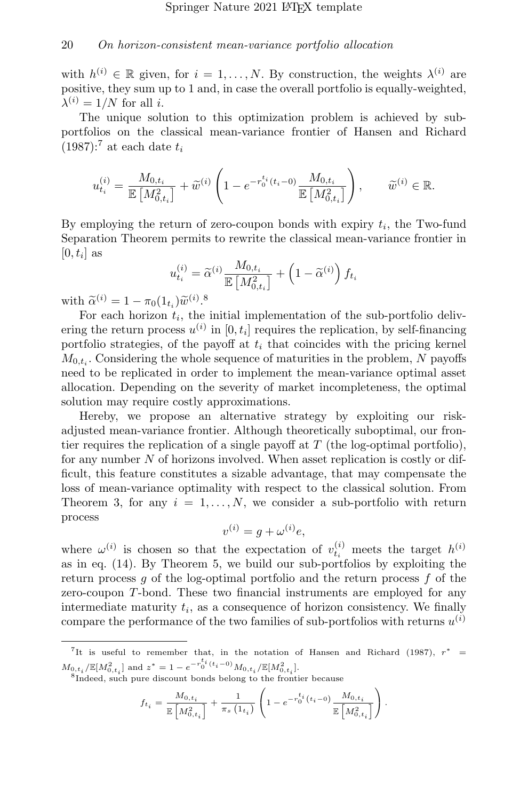with  $h^{(i)} \in \mathbb{R}$  given, for  $i = 1, ..., N$ . By construction, the weights  $\lambda^{(i)}$  are positive, they sum up to 1 and, in case the overall portfolio is equally-weighted,  $\lambda^{(i)} = 1/N$  for all *i*.

The unique solution to this optimization problem is achieved by subportfolios on the classical mean-variance frontier of [Hansen and Richard](#page-37-0)  $(1987)$ :<sup>[7](#page-19-0)</sup> at each date  $t_i$ 

$$
u_{t_i}^{(i)} = \frac{M_{0,t_i}}{\mathbb{E}\left[M_{0,t_i}^2\right]} + \widetilde{w}^{(i)} \left(1 - e^{-r_0^{t_i}(t_i - 0)} \frac{M_{0,t_i}}{\mathbb{E}\left[M_{0,t_i}^2\right]}\right), \qquad \widetilde{w}^{(i)} \in \mathbb{R}.
$$

By employing the return of zero-coupon bonds with expiry  $t_i$ , the Two-fund Separation Theorem permits to rewrite the classical mean-variance frontier in  $[0, t_i]$  as

$$
u_{t_i}^{(i)} = \widetilde{\alpha}^{(i)} \frac{M_{0,t_i}}{\mathbb{E}\left[M_{0,t_i}^2\right]} + \left(1 - \widetilde{\alpha}^{(i)}\right) f_{t_i}
$$

with  $\widetilde{\alpha}^{(i)} = 1 - \pi_0(1_{t_i})\widetilde{w}^{(i)}$ .<sup>[8](#page-19-1)</sup><br>For each horizon the

For each horizon  $t_i$ , the initial implementation of the sub-portfolio delivering the return process  $u^{(i)}$  in  $[0, t_i]$  requires the replication, by self-financing portfolio strategies, of the payoff at  $t_i$  that coincides with the pricing kernel  $M_{0,t_i}$ . Considering the whole sequence of maturities in the problem, N payoffs need to be replicated in order to implement the mean-variance optimal asset allocation. Depending on the severity of market incompleteness, the optimal solution may require costly approximations.

Hereby, we propose an alternative strategy by exploiting our riskadjusted mean-variance frontier. Although theoretically suboptimal, our frontier requires the replication of a single payoff at  $T$  (the log-optimal portfolio), for any number  $N$  of horizons involved. When asset replication is costly or difficult, this feature constitutes a sizable advantage, that may compensate the loss of mean-variance optimality with respect to the classical solution. From Theorem [3,](#page-14-0) for any  $i = 1, \ldots, N$ , we consider a sub-portfolio with return process

$$
v^{(i)} = g + \omega^{(i)} e,
$$

where  $\omega^{(i)}$  is chosen so that the expectation of  $v_{t_i}^{(i)}$  meets the target  $h^{(i)}$ as in eq. [\(14\)](#page-16-1). By Theorem [5,](#page-18-1) we build our sub-portfolios by exploiting the return process q of the log-optimal portfolio and the return process  $f$  of the zero-coupon T-bond. These two financial instruments are employed for any intermediate maturity  $t_i$ , as a consequence of horizon consistency. We finally compare the performance of the two families of sub-portfolios with returns  $u^{(i)}$ 

$$
f_{t_i} = \frac{M_{0,t_i}}{\mathbb{E}\left[M_{0,t_i}^2\right]} + \frac{1}{\pi_s \left(1_{t_i}\right)} \left(1 - e^{-r_0^{t_i}\left(t_i - 0\right)} \frac{M_{0,t_i}}{\mathbb{E}\left[M_{0,t_i}^2\right]}\right).
$$

<span id="page-19-0"></span><sup>&</sup>lt;sup>7</sup>It is useful to remember that, in the notation of [Hansen and Richard](#page-37-0) [\(1987\)](#page-37-0),  $r^*$  =  $M_{0,t_{i}}/\mathbb{E}[M_{0,t_{i}}^{2}] \text{ and } z^{*}=1-e^{-r_{0}^{t_{i}}(t_{i}-0)}M_{0,t_{i}}/\mathbb{E}[M_{0,t_{i}}^{2}].$ 

<span id="page-19-1"></span><sup>8</sup> Indeed, such pure discount bonds belong to the frontier because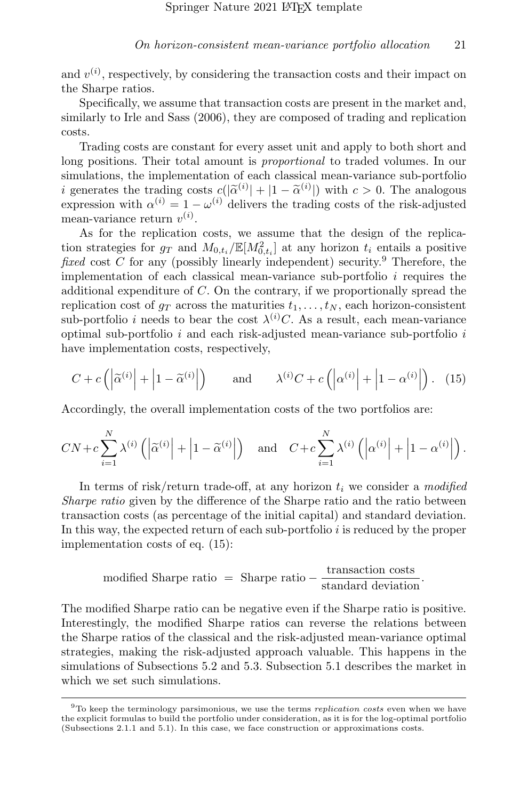and  $v^{(i)}$ , respectively, by considering the transaction costs and their impact on the Sharpe ratios.

Specifically, we assume that transaction costs are present in the market and, similarly to [Irle and Sass](#page-37-13) [\(2006\)](#page-37-13), they are composed of trading and replication costs.

Trading costs are constant for every asset unit and apply to both short and long positions. Their total amount is *proportional* to traded volumes. In our simulations, the implementation of each classical mean-variance sub-portfolio *i* generates the trading costs  $c(|\tilde{\alpha}^{(i)}| + |1 - \tilde{\alpha}^{(i)}|)$  with  $c > 0$ . The analogous expression with  $\alpha^{(i)} = 1 - \omega^{(i)}$  delivers the trading costs of the risk-adjusted expression with  $\alpha^{(i)} = 1 - \omega^{(i)}$  delivers the trading costs of the risk-adjusted mean-variance return  $v^{(i)}$ .

As for the replication costs, we assume that the design of the replication strategies for  $g_T$  and  $M_{0,t_i}/\mathbb{E}[M_{0,t_i}^2]$  at any horizon  $t_i$  entails a positive fixed cost  $C$  for any (possibly linearly independent) security.<sup>[9](#page-20-0)</sup> Therefore, the implementation of each classical mean-variance sub-portfolio  $i$  requires the additional expenditure of C. On the contrary, if we proportionally spread the replication cost of  $g_T$  across the maturities  $t_1, \ldots, t_N$ , each horizon-consistent sub-portfolio *i* needs to bear the cost  $\lambda^{(i)}C$ . As a result, each mean-variance optimal sub-portfolio  $i$  and each risk-adjusted mean-variance sub-portfolio  $i$ have implementation costs, respectively,

<span id="page-20-1"></span>
$$
C + c\left(\left|\widetilde{\alpha}^{(i)}\right| + \left|1 - \widetilde{\alpha}^{(i)}\right|\right) \qquad \text{and} \qquad \lambda^{(i)}C + c\left(\left|\alpha^{(i)}\right| + \left|1 - \alpha^{(i)}\right|\right). \tag{15}
$$

Accordingly, the overall implementation costs of the two portfolios are:

$$
CN + c\sum_{i=1}^{N} \lambda^{(i)} \left( \left| \widetilde{\alpha}^{(i)} \right| + \left| 1 - \widetilde{\alpha}^{(i)} \right| \right) \quad \text{and} \quad C + c\sum_{i=1}^{N} \lambda^{(i)} \left( \left| \alpha^{(i)} \right| + \left| 1 - \alpha^{(i)} \right| \right).
$$

In terms of risk/return trade-off, at any horizon  $t_i$  we consider a modified Sharpe ratio given by the difference of the Sharpe ratio and the ratio between transaction costs (as percentage of the initial capital) and standard deviation. In this way, the expected return of each sub-portfolio  $i$  is reduced by the proper implementation costs of eq. [\(15\)](#page-20-1):

modified Sharpe ratio = Sharpe ratio 
$$
-\frac{\text{transaction costs}}{\text{standard deviation}}
$$
.

The modified Sharpe ratio can be negative even if the Sharpe ratio is positive. Interestingly, the modified Sharpe ratios can reverse the relations between the Sharpe ratios of the classical and the risk-adjusted mean-variance optimal strategies, making the risk-adjusted approach valuable. This happens in the simulations of Subsections [5.2](#page-23-0) and [5.3.](#page-25-0) Subsection [5.1](#page-21-0) describes the market in which we set such simulations.

<span id="page-20-0"></span> $9$ To keep the terminology parsimonious, we use the terms *replication costs* even when we have the explicit formulas to build the portfolio under consideration, as it is for the log-optimal portfolio (Subsections [2.1.1](#page-6-0) and [5.1\)](#page-21-0). In this case, we face construction or approximations costs.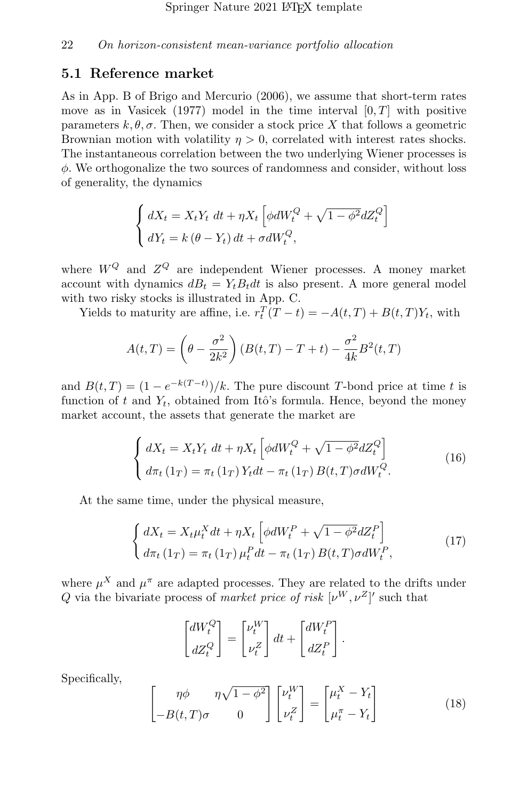#### <span id="page-21-0"></span>5.1 Reference market

As in App. B of [Brigo and Mercurio](#page-36-10) [\(2006\)](#page-36-10), we assume that short-term rates move as in [Vasicek](#page-38-11) [\(1977\)](#page-38-11) model in the time interval  $[0, T]$  with positive parameters  $k, \theta, \sigma$ . Then, we consider a stock price X that follows a geometric Brownian motion with volatility  $\eta > 0$ , correlated with interest rates shocks. The instantaneous correlation between the two underlying Wiener processes is  $\phi$ . We orthogonalize the two sources of randomness and consider, without loss of generality, the dynamics

$$
\begin{cases} dX_t = X_t Y_t dt + \eta X_t \left[ \phi dW_t^Q + \sqrt{1 - \phi^2} dZ_t^Q \right] \\ dY_t = k \left( \theta - Y_t \right) dt + \sigma dW_t^Q, \end{cases}
$$

where  $W^Q$  and  $Z^Q$  are independent Wiener processes. A money market account with dynamics  $dB_t = Y_t B_t dt$  is also present. A more general model with two risky stocks is illustrated in App. [C.](#page-33-0)

Yields to maturity are affine, i.e.  $r_t^T(T-t) = -A(t,T) + B(t,T)Y_t$ , with

$$
A(t,T) = \left(\theta - \frac{\sigma^2}{2k^2}\right) (B(t,T) - T + t) - \frac{\sigma^2}{4k} B^2(t,T)
$$

and  $B(t,T) = (1 - e^{-k(T-t)})/k$ . The pure discount T-bond price at time t is function of t and  $Y_t$ , obtained from Itô's formula. Hence, beyond the money market account, the assets that generate the market are

<span id="page-21-3"></span>
$$
\begin{cases}\n dX_t = X_t Y_t \, dt + \eta X_t \left[ \phi dW_t^Q + \sqrt{1 - \phi^2} dZ_t^Q \right] \\
 d\pi_t (1_T) = \pi_t (1_T) Y_t dt - \pi_t (1_T) B(t, T) \sigma dW_t^Q.\n\end{cases} \tag{16}
$$

At the same time, under the physical measure,

<span id="page-21-1"></span>
$$
\begin{cases}\n dX_t = X_t \mu_t^X dt + \eta X_t \left[ \phi dW_t^P + \sqrt{1 - \phi^2} dZ_t^P \right] \\
 d\pi_t (1_T) = \pi_t (1_T) \mu_t^P dt - \pi_t (1_T) B(t, T) \sigma dW_t^P,\n\end{cases} \tag{17}
$$

where  $\mu^X$  and  $\mu^{\pi}$  are adapted processes. They are related to the drifts under Q via the bivariate process of market price of risk  $[\nu^W, \nu^Z]'$  such that

$$
\begin{bmatrix} dW_t^Q \\ dZ_t^Q \end{bmatrix} = \begin{bmatrix} \nu_t^W \\ \nu_t^Z \end{bmatrix} dt + \begin{bmatrix} dW_t^P \\ dZ_t^P \end{bmatrix}.
$$

Specifically,

<span id="page-21-2"></span>
$$
\begin{bmatrix} \eta \phi & \eta \sqrt{1 - \phi^2} \\ -B(t, T)\sigma & 0 \end{bmatrix} \begin{bmatrix} \nu_t^W \\ \nu_t^Z \end{bmatrix} = \begin{bmatrix} \mu_t^X - Y_t \\ \mu_t^T - Y_t \end{bmatrix}
$$
 (18)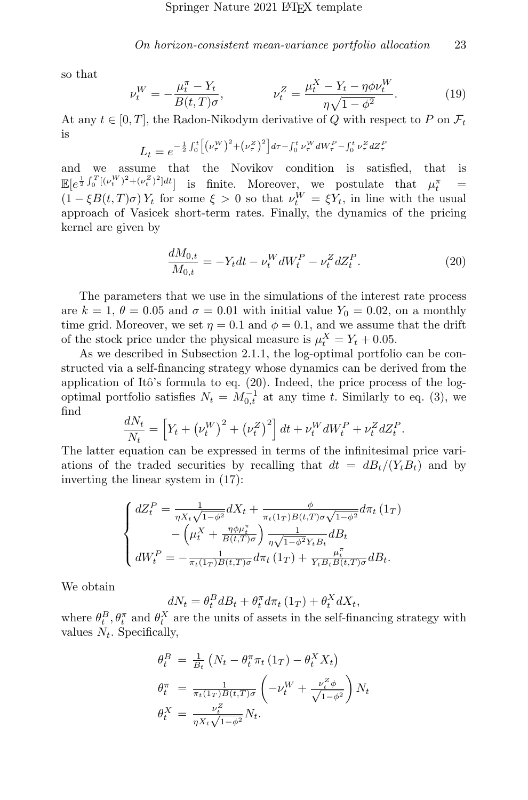so that

<span id="page-22-1"></span>
$$
\nu_t^W = -\frac{\mu_t^{\pi} - Y_t}{B(t, T)\sigma}, \qquad \nu_t^Z = \frac{\mu_t^X - Y_t - \eta \phi \nu_t^W}{\eta \sqrt{1 - \phi^2}}.
$$
 (19)

At any  $t \in [0, T]$ , the Radon-Nikodym derivative of Q with respect to P on  $\mathcal{F}_t$ is

$$
L_t = e^{-\frac{1}{2}\int_0^t \left[ \left( \nu_\tau^W \right)^2 + \left( \nu_\tau^Z \right)^2 \right] d\tau - \int_0^t \nu_\tau^W dW_\tau^P - \int_0^t \nu_\tau^Z dZ_\tau^P}
$$

and we assume that the Novikov condition is satisfied, that is  $\mathbb{E}[e^{\frac{1}{2}\int_0^T [(\nu_t^W)^2 + (\nu_t^Z)^2]dt}]$  is finite. Moreover, we postulate that  $\mu_t^{\pi}$  =  $(1 - \xi B(t, T)\sigma) Y_t$  for some  $\xi > 0$  so that  $\nu_t^W = \xi Y_t$ , in line with the usual approach of Vasicek short-term rates. Finally, the dynamics of the pricing kernel are given by

<span id="page-22-0"></span>
$$
\frac{dM_{0,t}}{M_{0,t}} = -Y_t dt - \nu_t^W dW_t^P - \nu_t^Z dZ_t^P.
$$
\n(20)

The parameters that we use in the simulations of the interest rate process are  $k = 1, \theta = 0.05$  and  $\sigma = 0.01$  with initial value  $Y_0 = 0.02$ , on a monthly time grid. Moreover, we set  $\eta = 0.1$  and  $\phi = 0.1$ , and we assume that the drift of the stock price under the physical measure is  $\mu_t^X = Y_t + 0.05$ .

As we described in Subsection [2.1.1,](#page-6-0) the log-optimal portfolio can be constructed via a self-financing strategy whose dynamics can be derived from the application of Itô's formula to eq.  $(20)$ . Indeed, the price process of the logoptimal portfolio satisfies  $N_t = M_{0,t}^{-1}$  at any time t. Similarly to eq. [\(3\)](#page-7-2), we find

$$
\frac{dN_t}{N_t} = \left[ Y_t + (\nu_t^W)^2 + (\nu_t^Z)^2 \right] dt + \nu_t^W dW_t^P + \nu_t^Z dZ_t^P.
$$

The latter equation can be expressed in terms of the infinitesimal price variations of the traded securities by recalling that  $dt = dB_t/(Y_tB_t)$  and by inverting the linear system in [\(17\)](#page-21-1):

$$
\begin{cases}\ndZ_t^P = \frac{1}{\eta X_t \sqrt{1 - \phi^2}} dX_t + \frac{\phi}{\pi_t (1_T) B(t, T) \sigma \sqrt{1 - \phi^2}} d\pi_t (1_T) \\
-\left(\mu_t^X + \frac{\eta \phi \mu_t^{\pi}}{B(t, T) \sigma}\right) \frac{1}{\eta \sqrt{1 - \phi^2} Y_t B_t} dB_t \\
dW_t^P = -\frac{1}{\pi_t (1_T) B(t, T) \sigma} d\pi_t (1_T) + \frac{\mu_t^{\pi}}{Y_t B_t B(t, T) \sigma} dB_t.\n\end{cases}
$$

We obtain

 $dN_t = \theta_t^B dB_t + \theta_t^{\pi} d\pi_t (1_T) + \theta_t^X dX_t,$ 

where  $\theta_t^B$ ,  $\theta_t^{\pi}$  and  $\theta_t^X$  are the units of assets in the self-financing strategy with values  $N_t$ . Specifically,

$$
\begin{aligned}\n\theta_t^B &= \frac{1}{B_t} \left( N_t - \theta_t^\pi \pi_t \left( 1_T \right) - \theta_t^X X_t \right) \\
\theta_t^\pi &= \frac{1}{\pi_t (1_T) B(t, T) \sigma} \left( -\nu_t^W + \frac{\nu_t^Z \phi}{\sqrt{1 - \phi^2}} \right) N_t \\
\theta_t^X &= \frac{\nu_t^Z}{\eta X_t \sqrt{1 - \phi^2}} N_t.\n\end{aligned}
$$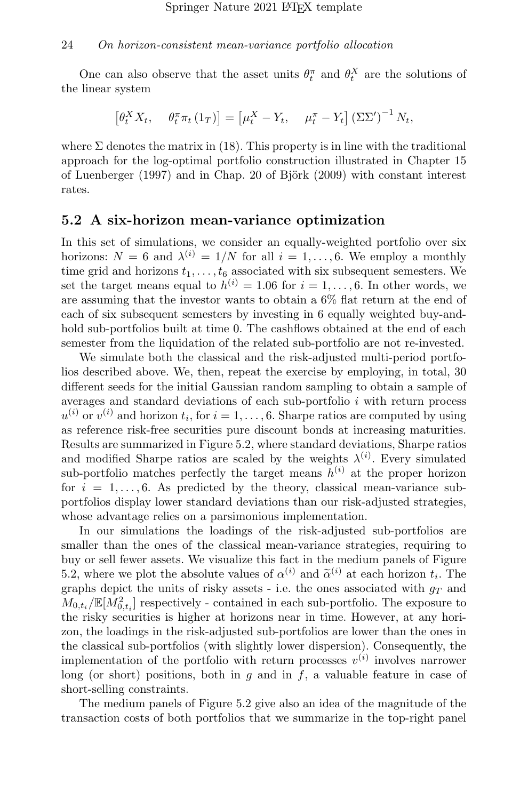One can also observe that the asset units  $\theta_t^{\pi}$  and  $\theta_t^X$  are the solutions of the linear system

$$
\left[\theta_t^X X_t, \quad \theta_t^\pi \pi_t\left(1_T\right)\right] = \left[\mu_t^X - Y_t, \quad \mu_t^\pi - Y_t\right] \left(\Sigma \Sigma'\right)^{-1} N_t,
$$

where  $\Sigma$  denotes the matrix in [\(18\)](#page-21-2). This property is in line with the traditional approach for the log-optimal portfolio construction illustrated in Chapter 15 of [Luenberger](#page-37-14)  $(1997)$  and in Chap. 20 of Björk  $(2009)$  with constant interest rates.

#### <span id="page-23-0"></span>5.2 A six-horizon mean-variance optimization

In this set of simulations, we consider an equally-weighted portfolio over six horizons:  $N = 6$  and  $\lambda^{(i)} = 1/N$  for all  $i = 1, ..., 6$ . We employ a monthly time grid and horizons  $t_1, \ldots, t_6$  associated with six subsequent semesters. We set the target means equal to  $h^{(i)} = 1.06$  for  $i = 1, ..., 6$ . In other words, we are assuming that the investor wants to obtain a 6% flat return at the end of each of six subsequent semesters by investing in 6 equally weighted buy-andhold sub-portfolios built at time 0. The cashflows obtained at the end of each semester from the liquidation of the related sub-portfolio are not re-invested.

We simulate both the classical and the risk-adjusted multi-period portfolios described above. We, then, repeat the exercise by employing, in total, 30 different seeds for the initial Gaussian random sampling to obtain a sample of averages and standard deviations of each sub-portfolio  $i$  with return process  $u^{(i)}$  or  $v^{(i)}$  and horizon  $t_i$ , for  $i = 1, ..., 6$ . Sharpe ratios are computed by using as reference risk-free securities pure discount bonds at increasing maturities. Results are summarized in Figure [5.2,](#page-23-0) where standard deviations, Sharpe ratios and modified Sharpe ratios are scaled by the weights  $\lambda^{(i)}$ . Every simulated sub-portfolio matches perfectly the target means  $h^{(i)}$  at the proper horizon for  $i = 1, \ldots, 6$ . As predicted by the theory, classical mean-variance subportfolios display lower standard deviations than our risk-adjusted strategies, whose advantage relies on a parsimonious implementation.

In our simulations the loadings of the risk-adjusted sub-portfolios are smaller than the ones of the classical mean-variance strategies, requiring to buy or sell fewer assets. We visualize this fact in the medium panels of Figure [5.2,](#page-23-0) where we plot the absolute values of  $\alpha^{(i)}$  and  $\tilde{\alpha}^{(i)}$  at each horizon  $t_i$ . The graphs depict the units of risky assets - i.e. the ones associated with  $g_T$  and  $M_{0,t_i}/{\mathbb E}[M_{0,t_i}^2]$  respectively - contained in each sub-portfolio. The exposure to the risky securities is higher at horizons near in time. However, at any horizon, the loadings in the risk-adjusted sub-portfolios are lower than the ones in the classical sub-portfolios (with slightly lower dispersion). Consequently, the implementation of the portfolio with return processes  $v^{(i)}$  involves narrower long (or short) positions, both in  $g$  and in  $f$ , a valuable feature in case of short-selling constraints.

The medium panels of Figure [5.2](#page-23-0) give also an idea of the magnitude of the transaction costs of both portfolios that we summarize in the top-right panel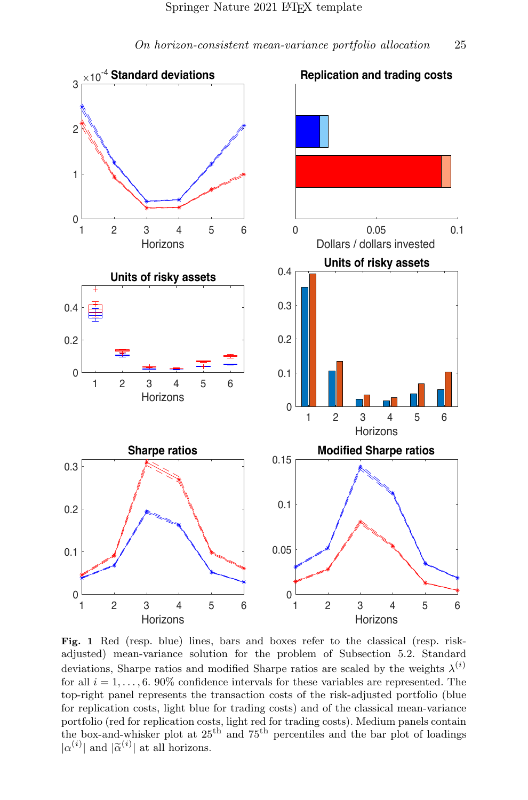

Fig. 1 Red (resp. blue) lines, bars and boxes refer to the classical (resp. riskadjusted) mean-variance solution for the problem of Subsection [5.2.](#page-23-0) Standard deviations, Sharpe ratios and modified Sharpe ratios are scaled by the weights  $\lambda^{(i)}$ for all  $i = 1, \ldots, 6$ . 90% confidence intervals for these variables are represented. The top-right panel represents the transaction costs of the risk-adjusted portfolio (blue for replication costs, light blue for trading costs) and of the classical mean-variance portfolio (red for replication costs, light red for trading costs). Medium panels contain the box-and-whisker plot at  $25<sup>th</sup>$  and  $75<sup>th</sup>$  percentiles and the bar plot of loadings  $|\alpha^{(i)}|$  and  $|\tilde{\alpha}^{(i)}|$  at all horizons.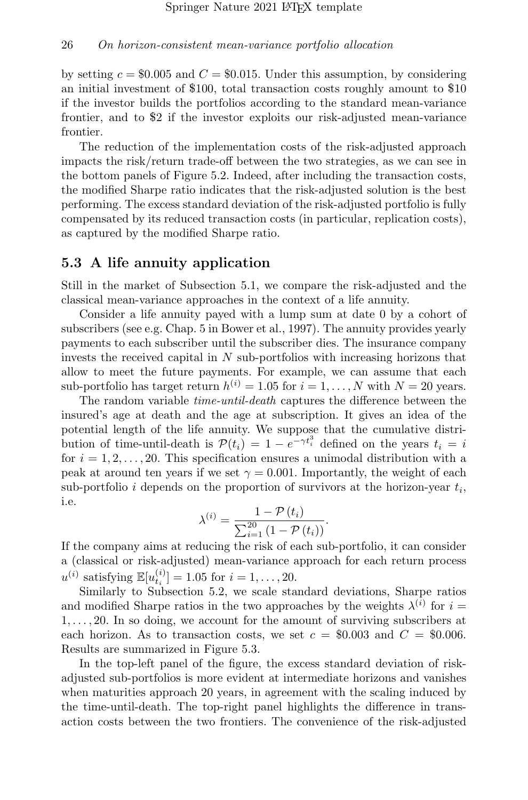by setting  $c = $0.005$  and  $C = $0.015$ . Under this assumption, by considering an initial investment of \$100, total transaction costs roughly amount to \$10 if the investor builds the portfolios according to the standard mean-variance frontier, and to \$2 if the investor exploits our risk-adjusted mean-variance frontier.

The reduction of the implementation costs of the risk-adjusted approach impacts the risk/return trade-off between the two strategies, as we can see in the bottom panels of Figure [5.2.](#page-23-0) Indeed, after including the transaction costs, the modified Sharpe ratio indicates that the risk-adjusted solution is the best performing. The excess standard deviation of the risk-adjusted portfolio is fully compensated by its reduced transaction costs (in particular, replication costs), as captured by the modified Sharpe ratio.

#### <span id="page-25-0"></span>5.3 A life annuity application

Still in the market of Subsection [5.1,](#page-21-0) we compare the risk-adjusted and the classical mean-variance approaches in the context of a life annuity.

Consider a life annuity payed with a lump sum at date 0 by a cohort of subscribers (see e.g. Chap. 5 in [Bower et al., 1997\)](#page-36-11). The annuity provides yearly payments to each subscriber until the subscriber dies. The insurance company invests the received capital in N sub-portfolios with increasing horizons that allow to meet the future payments. For example, we can assume that each sub-portfolio has target return  $h^{(i)} = 1.05$  for  $i = 1, ..., N$  with  $N = 20$  years.

The random variable time-until-death captures the difference between the insured's age at death and the age at subscription. It gives an idea of the potential length of the life annuity. We suppose that the cumulative distribution of time-until-death is  $\mathcal{P}(t_i) = 1 - e^{-\gamma t_i^3}$  defined on the years  $t_i = i$ for  $i = 1, 2, \ldots, 20$ . This specification ensures a unimodal distribution with a peak at around ten years if we set  $\gamma = 0.001$ . Importantly, the weight of each sub-portfolio *i* depends on the proportion of survivors at the horizon-year  $t_i$ , i.e.

$$
\lambda^{(i)} = \frac{1 - \mathcal{P}(t_i)}{\sum_{i=1}^{20} (1 - \mathcal{P}(t_i))}.
$$

If the company aims at reducing the risk of each sub-portfolio, it can consider a (classical or risk-adjusted) mean-variance approach for each return process  $u^{(i)}$  satisfying  $\mathbb{E}[u_{t_i}^{(i)}] = 1.05$  for  $i = 1, ..., 20$ .

Similarly to Subsection [5.2,](#page-23-0) we scale standard deviations, Sharpe ratios and modified Sharpe ratios in the two approaches by the weights  $\lambda^{(i)}$  for  $i =$  $1, \ldots, 20$ . In so doing, we account for the amount of surviving subscribers at each horizon. As to transaction costs, we set  $c = $0.003$  and  $C = $0.006$ . Results are summarized in Figure [5.3.](#page-25-0)

In the top-left panel of the figure, the excess standard deviation of riskadjusted sub-portfolios is more evident at intermediate horizons and vanishes when maturities approach 20 years, in agreement with the scaling induced by the time-until-death. The top-right panel highlights the difference in transaction costs between the two frontiers. The convenience of the risk-adjusted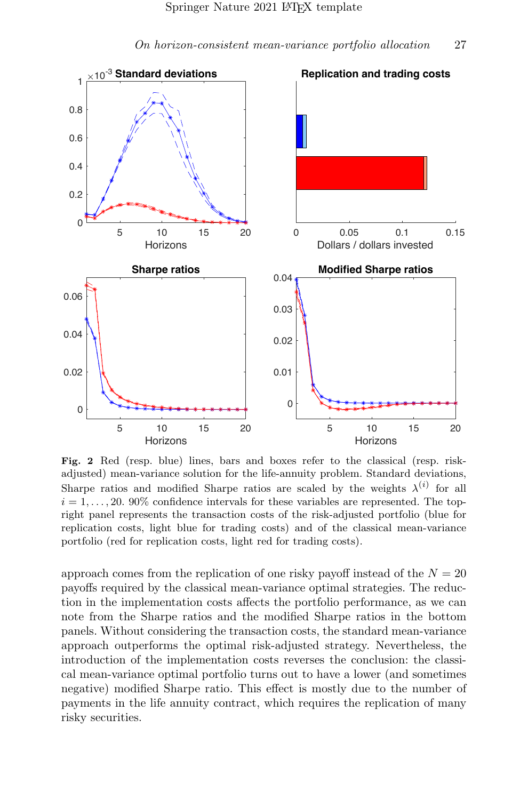

On horizon-consistent mean-variance portfolio allocation 27

Fig. 2 Red (resp. blue) lines, bars and boxes refer to the classical (resp. riskadjusted) mean-variance solution for the life-annuity problem. Standard deviations, Sharpe ratios and modified Sharpe ratios are scaled by the weights  $\lambda^{(i)}$  for all  $i = 1, \ldots, 20$ . 90% confidence intervals for these variables are represented. The topright panel represents the transaction costs of the risk-adjusted portfolio (blue for replication costs, light blue for trading costs) and of the classical mean-variance portfolio (red for replication costs, light red for trading costs).

approach comes from the replication of one risky payoff instead of the  $N = 20$ payoffs required by the classical mean-variance optimal strategies. The reduction in the implementation costs affects the portfolio performance, as we can note from the Sharpe ratios and the modified Sharpe ratios in the bottom panels. Without considering the transaction costs, the standard mean-variance approach outperforms the optimal risk-adjusted strategy. Nevertheless, the introduction of the implementation costs reverses the conclusion: the classical mean-variance optimal portfolio turns out to have a lower (and sometimes negative) modified Sharpe ratio. This effect is mostly due to the number of payments in the life annuity contract, which requires the replication of many risky securities.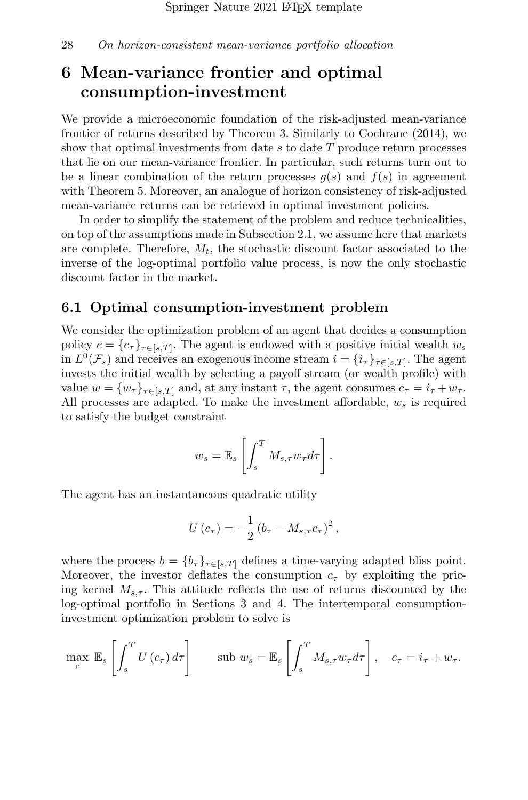## <span id="page-27-0"></span>6 Mean-variance frontier and optimal consumption-investment

We provide a microeconomic foundation of the risk-adjusted mean-variance frontier of returns described by Theorem [3.](#page-14-0) Similarly to [Cochrane](#page-36-1) [\(2014\)](#page-36-1), we show that optimal investments from date  $s$  to date  $T$  produce return processes that lie on our mean-variance frontier. In particular, such returns turn out to be a linear combination of the return processes  $q(s)$  and  $f(s)$  in agreement with Theorem [5.](#page-18-1) Moreover, an analogue of horizon consistency of risk-adjusted mean-variance returns can be retrieved in optimal investment policies.

In order to simplify the statement of the problem and reduce technicalities, on top of the assumptions made in Subsection [2.1,](#page-5-0) we assume here that markets are complete. Therefore,  $M_t$ , the stochastic discount factor associated to the inverse of the log-optimal portfolio value process, is now the only stochastic discount factor in the market.

### 6.1 Optimal consumption-investment problem

We consider the optimization problem of an agent that decides a consumption policy  $c = \{c_{\tau}\}_{\tau \in [s,T]}$ . The agent is endowed with a positive initial wealth  $w_s$ in  $L^0(\mathcal{F}_s)$  and receives an exogenous income stream  $i = \{i_\tau\}_{\tau \in [s,T]}$ . The agent invests the initial wealth by selecting a payoff stream (or wealth profile) with value  $w = \{w_\tau\}_{\tau \in [s,T]}$  and, at any instant  $\tau$ , the agent consumes  $c_\tau = i_\tau + w_\tau$ . All processes are adapted. To make the investment affordable,  $w_s$  is required to satisfy the budget constraint

$$
w_s = \mathbb{E}_s \left[ \int_s^T M_{s,\tau} w_{\tau} d\tau \right].
$$

The agent has an instantaneous quadratic utility

$$
U\left(c_{\tau}\right) = -\frac{1}{2}\left(b_{\tau} - M_{s,\tau}c_{\tau}\right)^{2},
$$

where the process  $b = \{b_{\tau}\}_{{\tau \in [s,T]}}$  defines a time-varying adapted bliss point. Moreover, the investor deflates the consumption  $c_{\tau}$  by exploiting the pricing kernel  $M_{s,\tau}$ . This attitude reflects the use of returns discounted by the log-optimal portfolio in Sections [3](#page-9-2) and [4.](#page-13-2) The intertemporal consumptioninvestment optimization problem to solve is

$$
\max_{c} \mathbb{E}_{s} \left[ \int_{s}^{T} U(c_{\tau}) d\tau \right] \qquad \text{sub } w_{s} = \mathbb{E}_{s} \left[ \int_{s}^{T} M_{s,\tau} w_{\tau} d\tau \right], \quad c_{\tau} = i_{\tau} + w_{\tau}.
$$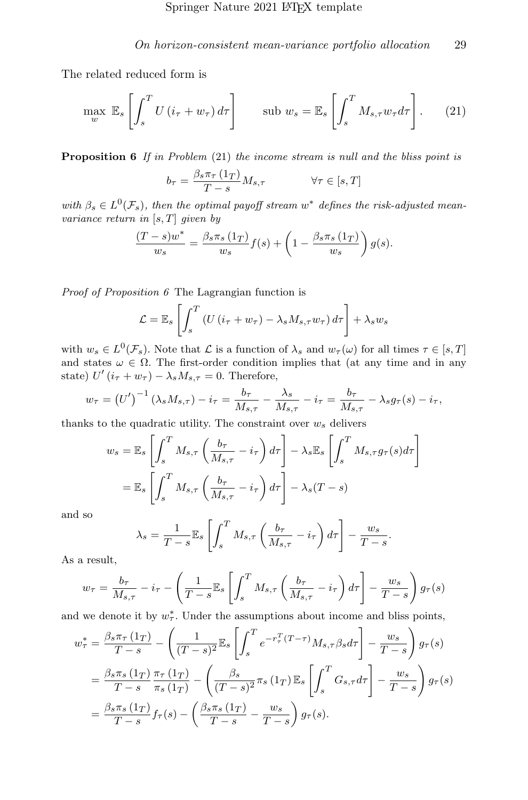The related reduced form is

<span id="page-28-0"></span>
$$
\max_{w} \mathbb{E}_{s} \left[ \int_{s}^{T} U(i_{\tau} + w_{\tau}) d\tau \right] \qquad \text{sub } w_{s} = \mathbb{E}_{s} \left[ \int_{s}^{T} M_{s,\tau} w_{\tau} d\tau \right]. \tag{21}
$$

<span id="page-28-1"></span>**Proposition 6** If in Problem  $(21)$  the income stream is null and the bliss point is

$$
b_{\tau} = \frac{\beta_s \pi_{\tau} (1_T)}{T - s} M_{s,\tau} \qquad \forall \tau \in [s, T]
$$

with  $\beta_s \in L^0(\mathcal{F}_s)$ , then the optimal payoff stream w<sup>\*</sup> defines the risk-adjusted meanvariance return in  $[s, T]$  given by

$$
\frac{(T-s)w^*}{w_s} = \frac{\beta_s \pi_s(1_T)}{w_s} f(s) + \left(1 - \frac{\beta_s \pi_s(1_T)}{w_s}\right) g(s).
$$

Proof of Proposition [6](#page-28-1) The Lagrangian function is

$$
\mathcal{L} = \mathbb{E}_s \left[ \int_s^T \left( U \left( i_\tau + w_\tau \right) - \lambda_s M_{s,\tau} w_\tau \right) d\tau \right] + \lambda_s w_s
$$

with  $w_s \in L^0(\mathcal{F}_s)$ . Note that  $\mathcal L$  is a function of  $\lambda_s$  and  $w_\tau(\omega)$  for all times  $\tau \in [s, T]$ and states  $\omega \in \Omega$ . The first-order condition implies that (at any time and in any state)  $U'(i_{\tau} + w_{\tau}) - \lambda_s M_{s,\tau} = 0$ . Therefore,

$$
w_{\tau} = (U')^{-1} (\lambda_s M_{s,\tau}) - i_{\tau} = \frac{b_{\tau}}{M_{s,\tau}} - \frac{\lambda_s}{M_{s,\tau}} - i_{\tau} = \frac{b_{\tau}}{M_{s,\tau}} - \lambda_s g_{\tau}(s) - i_{\tau},
$$

thanks to the quadratic utility. The constraint over  $w_s$  delivers

$$
w_s = \mathbb{E}_s \left[ \int_s^T M_{s,\tau} \left( \frac{b_\tau}{M_{s,\tau}} - i_\tau \right) d\tau \right] - \lambda_s \mathbb{E}_s \left[ \int_s^T M_{s,\tau} g_\tau(s) d\tau \right]
$$
  
=  $\mathbb{E}_s \left[ \int_s^T M_{s,\tau} \left( \frac{b_\tau}{M_{s,\tau}} - i_\tau \right) d\tau \right] - \lambda_s (T - s)$ 

and so

$$
\lambda_s = \frac{1}{T - s} \mathbb{E}_s \left[ \int_s^T M_{s,\tau} \left( \frac{b_{\tau}}{M_{s,\tau}} - i_{\tau} \right) d\tau \right] - \frac{w_s}{T - s}.
$$

As a result,

$$
w_{\tau} = \frac{b_{\tau}}{M_{s,\tau}} - i_{\tau} - \left(\frac{1}{T-s} \mathbb{E}_{s} \left[ \int_{s}^{T} M_{s,\tau} \left( \frac{b_{\tau}}{M_{s,\tau}} - i_{\tau} \right) d\tau \right] - \frac{w_{s}}{T-s} \right) g_{\tau}(s)
$$

and we denote it by  $w^*_{\tau}$ . Under the assumptions about income and bliss points,

$$
w_{\tau}^{*} = \frac{\beta_{s}\pi_{\tau}(1_{T})}{T-s} - \left(\frac{1}{(T-s)^{2}}\mathbb{E}_{s}\left[\int_{s}^{T}e^{-r_{\tau}^{T}(T-\tau)}M_{s,\tau}\beta_{s}d\tau\right] - \frac{w_{s}}{T-s}\right)g_{\tau}(s)
$$
  

$$
= \frac{\beta_{s}\pi_{s}(1_{T})}{T-s}\frac{\pi_{\tau}(1_{T})}{\pi_{s}(1_{T})} - \left(\frac{\beta_{s}}{(T-s)^{2}}\pi_{s}(1_{T})\mathbb{E}_{s}\left[\int_{s}^{T}G_{s,\tau}d\tau\right] - \frac{w_{s}}{T-s}\right)g_{\tau}(s)
$$
  

$$
= \frac{\beta_{s}\pi_{s}(1_{T})}{T-s}f_{\tau}(s) - \left(\frac{\beta_{s}\pi_{s}(1_{T})}{T-s} - \frac{w_{s}}{T-s}\right)g_{\tau}(s).
$$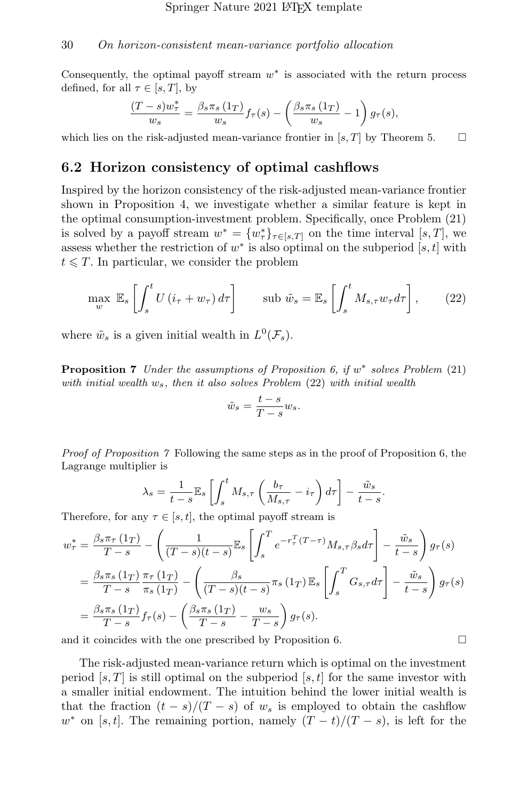Consequently, the optimal payoff stream  $w^*$  is associated with the return process defined, for all  $\tau \in [s, T]$ , by

$$
\frac{(T-s)w_{\tau}^*}{w_s} = \frac{\beta_s \pi_s (1_T)}{w_s} f_{\tau}(s) - \left(\frac{\beta_s \pi_s (1_T)}{w_s} - 1\right) g_{\tau}(s),
$$

which lies on the risk-adjusted mean-variance frontier in [s, T] by Theorem [5.](#page-18-1)  $\Box$ 

#### 6.2 Horizon consistency of optimal cashflows

Inspired by the horizon consistency of the risk-adjusted mean-variance frontier shown in Proposition [4,](#page-17-0) we investigate whether a similar feature is kept in the optimal consumption-investment problem. Specifically, once Problem [\(21\)](#page-28-0) is solved by a payoff stream  $w^* = \{w^*_{\tau}\}_{\tau \in [s,T]}$  on the time interval  $[s,T]$ , we assess whether the restriction of  $w^*$  is also optimal on the subperiod  $[s, t]$  with  $t \leq T$ . In particular, we consider the problem

<span id="page-29-0"></span>
$$
\max_{w} \mathbb{E}_{s} \left[ \int_{s}^{t} U(i_{\tau} + w_{\tau}) d\tau \right] \qquad \text{sub } \tilde{w}_{s} = \mathbb{E}_{s} \left[ \int_{s}^{t} M_{s,\tau} w_{\tau} d\tau \right], \tag{22}
$$

where  $\tilde{w}_s$  is a given initial wealth in  $L^0(\mathcal{F}_s)$ .

<span id="page-29-1"></span>**Proposition 7** Under the assumptions of Proposition [6,](#page-28-1) if  $w^*$  solves Problem [\(21\)](#page-28-0) with initial wealth  $w_s$ , then it also solves Problem [\(22\)](#page-29-0) with initial wealth

$$
\tilde{w}_s = \frac{t-s}{T-s} w_s.
$$

Proof of Proposition [7](#page-29-1) Following the same steps as in the proof of Proposition [6,](#page-28-1) the Lagrange multiplier is

$$
\lambda_s = \frac{1}{t-s} \mathbb{E}_s \left[ \int_s^t M_{s,\tau} \left( \frac{b_\tau}{M_{s,\tau}} - i_\tau \right) d\tau \right] - \frac{\tilde{w}_s}{t-s}.
$$

Therefore, for any  $\tau \in [s, t]$ , the optimal payoff stream is

$$
w_{\tau}^{*} = \frac{\beta_{s}\pi_{\tau}(1_{T})}{T-s} - \left(\frac{1}{(T-s)(t-s)}\mathbb{E}_{s}\left[\int_{s}^{T}e^{-r_{\tau}^{T}(T-\tau)}M_{s,\tau}\beta_{s}d\tau\right] - \frac{\tilde{w}_{s}}{t-s}\right)g_{\tau}(s)
$$
  

$$
= \frac{\beta_{s}\pi_{s}(1_{T})}{T-s}\frac{\pi_{\tau}(1_{T})}{\pi_{s}(1_{T})} - \left(\frac{\beta_{s}}{(T-s)(t-s)}\pi_{s}(1_{T})\mathbb{E}_{s}\left[\int_{s}^{T}G_{s,\tau}d\tau\right] - \frac{\tilde{w}_{s}}{t-s}\right)g_{\tau}(s)
$$
  

$$
= \frac{\beta_{s}\pi_{s}(1_{T})}{T-s}f_{\tau}(s) - \left(\frac{\beta_{s}\pi_{s}(1_{T})}{T-s}-\frac{w_{s}}{T-s}\right)g_{\tau}(s).
$$

and it coincides with the one prescribed by Proposition [6.](#page-28-1)  $\Box$ 

The risk-adjusted mean-variance return which is optimal on the investment period  $[s, T]$  is still optimal on the subperiod  $[s, t]$  for the same investor with a smaller initial endowment. The intuition behind the lower initial wealth is that the fraction  $(t - s)/(T - s)$  of  $w_s$  is employed to obtain the cashflow  $w^*$  on [s, t]. The remaining portion, namely  $(T - t)/(T - s)$ , is left for the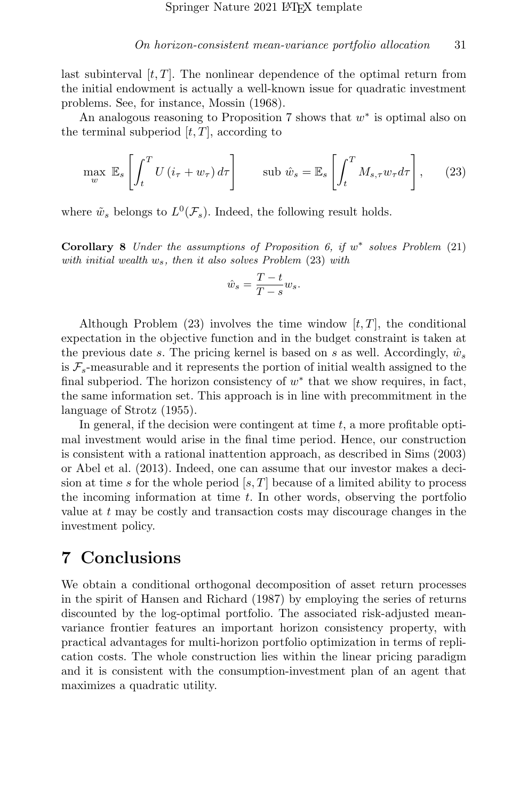last subinterval  $[t, T]$ . The nonlinear dependence of the optimal return from the initial endowment is actually a well-known issue for quadratic investment problems. See, for instance, [Mossin](#page-38-5) [\(1968\)](#page-38-5).

An analogous reasoning to Proposition [7](#page-29-1) shows that  $w^*$  is optimal also on the terminal subperiod  $[t, T]$ , according to

<span id="page-30-0"></span>
$$
\max_{w} \mathbb{E}_{s} \left[ \int_{t}^{T} U(i_{\tau} + w_{\tau}) d\tau \right] \qquad \text{sub } \hat{w}_{s} = \mathbb{E}_{s} \left[ \int_{t}^{T} M_{s,\tau} w_{\tau} d\tau \right], \tag{23}
$$

where  $\tilde{w}_s$  belongs to  $L^0(\mathcal{F}_s)$ . Indeed, the following result holds.

Corollary 8 Under the assumptions of Proposition [6,](#page-28-1) if  $w^*$  solves Problem [\(21\)](#page-28-0) with initial wealth  $w_s$ , then it also solves Problem  $(23)$  with

$$
\hat{w}_s = \frac{T-t}{T-s}w_s.
$$

Although Problem  $(23)$  involves the time window  $[t, T]$ , the conditional expectation in the objective function and in the budget constraint is taken at the previous date s. The pricing kernel is based on s as well. Accordingly,  $\hat{w}_s$ is  $\mathcal{F}_s$ -measurable and it represents the portion of initial wealth assigned to the final subperiod. The horizon consistency of  $w^*$  that we show requires, in fact, the same information set. This approach is in line with precommitment in the language of [Strotz](#page-38-4) [\(1955\)](#page-38-4).

In general, if the decision were contingent at time  $t$ , a more profitable optimal investment would arise in the final time period. Hence, our construction is consistent with a rational inattention approach, as described in [Sims](#page-38-12) [\(2003\)](#page-38-12) or [Abel et al.](#page-36-12) [\(2013\)](#page-36-12). Indeed, one can assume that our investor makes a decision at time s for the whole period  $[s, T]$  because of a limited ability to process the incoming information at time  $t$ . In other words, observing the portfolio value at t may be costly and transaction costs may discourage changes in the investment policy.

## 7 Conclusions

We obtain a conditional orthogonal decomposition of asset return processes in the spirit of [Hansen and Richard](#page-37-0) [\(1987\)](#page-37-0) by employing the series of returns discounted by the log-optimal portfolio. The associated risk-adjusted meanvariance frontier features an important horizon consistency property, with practical advantages for multi-horizon portfolio optimization in terms of replication costs. The whole construction lies within the linear pricing paradigm and it is consistent with the consumption-investment plan of an agent that maximizes a quadratic utility.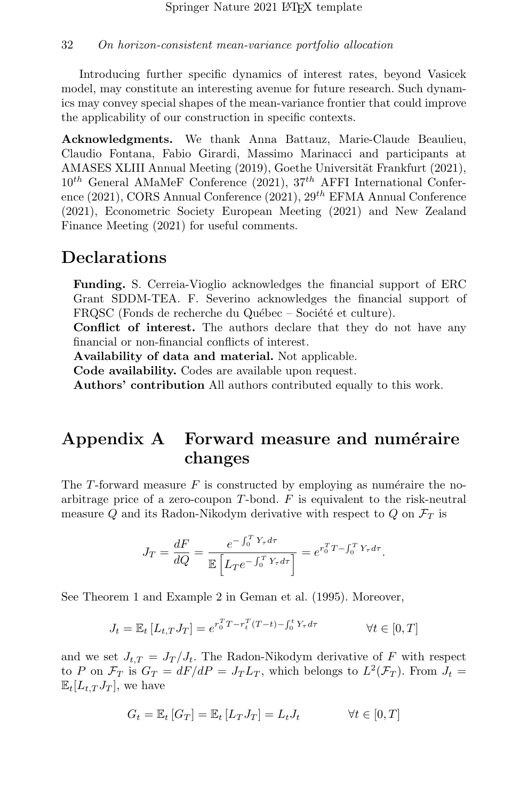Introducing further specific dynamics of interest rates, beyond Vasicek model, may constitute an interesting avenue for future research. Such dynamics may convey special shapes of the mean-variance frontier that could improve the applicability of our construction in specific contexts.

Acknowledgments. We thank Anna Battauz, Marie-Claude Beaulieu, Claudio Fontana, Fabio Girardi, Massimo Marinacci and participants at AMASES XLIII Annual Meeting (2019), Goethe Universität Frankfurt (2021),  $10^{th}$  General AMaMeF Conference (2021),  $37^{th}$  AFFI International Conference (2021), CORS Annual Conference (2021),  $29^{th}$  EFMA Annual Conference (2021), Econometric Society European Meeting (2021) and New Zealand Finance Meeting (2021) for useful comments.

## Declarations

Funding. S. Cerreia-Vioglio acknowledges the financial support of ERC Grant SDDM-TEA. F. Severino acknowledges the financial support of FRQSC (Fonds de recherche du Québec – Société et culture).

Conflict of interest. The authors declare that they do not have any financial or non-financial conflicts of interest.

Availability of data and material. Not applicable.

Code availability. Codes are available upon request.

Authors' contribution All authors contributed equally to this work.

## <span id="page-31-0"></span>Appendix A Forward measure and numéraire changes

The T-forward measure  $F$  is constructed by employing as numéraire the noarbitrage price of a zero-coupon  $T$ -bond.  $F$  is equivalent to the risk-neutral measure Q and its Radon-Nikodym derivative with respect to Q on  $\mathcal{F}_T$  is

$$
J_T = \frac{dF}{dQ} = \frac{e^{-\int_0^T Y_\tau d\tau}}{\mathbb{E}\left[L_T e^{-\int_0^T Y_\tau d\tau}\right]} = e^{r_0^T T - \int_0^T Y_\tau d\tau}.
$$

See Theorem 1 and Example 2 in [Geman et al.](#page-37-11) [\(1995\)](#page-37-11). Moreover,

$$
J_t = \mathbb{E}_t \left[ L_{t,T} J_T \right] = e^{r_0^T T - r_t^T (T - t) - \int_0^t Y_\tau d\tau} \qquad \forall t \in [0, T]
$$

and we set  $J_{t,T} = J_T / J_t$ . The Radon-Nikodym derivative of F with respect to P on  $\mathcal{F}_T$  is  $G_T = dF/dP = J_T L_T$ , which belongs to  $L^2(\mathcal{F}_T)$ . From  $J_t =$  $\mathbb{E}_{t}[L_t, TJ_T]$ , we have

$$
G_t = \mathbb{E}_t [G_T] = \mathbb{E}_t [L_T J_T] = L_t J_t \qquad \forall t \in [0, T]
$$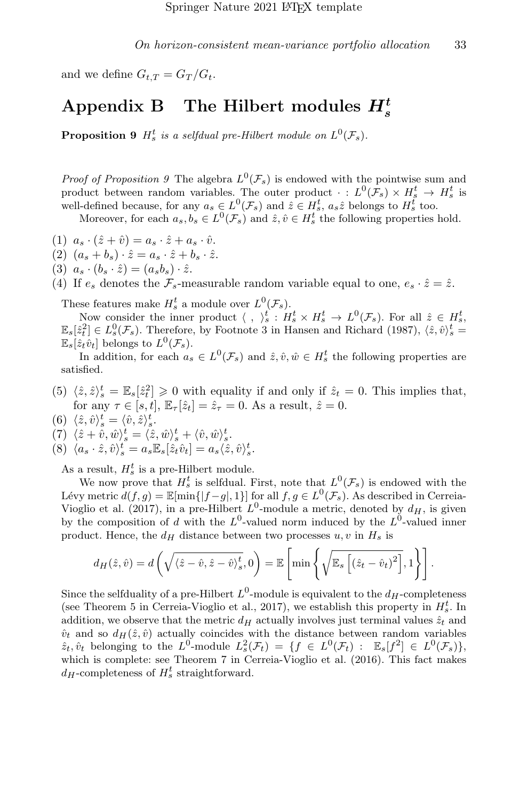and we define  $G_{t,T} = G_T/G_t$ .

# <span id="page-32-1"></span>Appendix B The Hilbert modules  $H_s^t$

<span id="page-32-0"></span>**Proposition 9**  $H_s^t$  is a selfdual pre-Hilbert module on  $L^0(\mathcal{F}_s)$ .

*Proof of Proposition [9](#page-32-0)* The algebra  $L^0(\mathcal{F}_s)$  is endowed with the pointwise sum and product between random variables. The outer product  $\cdot : L^0(\mathcal{F}_s) \times H^t_s \to H^t_s$  is well-defined because, for any  $a_s \in L^0(\mathcal{F}_s)$  and  $\hat{z} \in H_s^t$ ,  $a_s \hat{z}$  belongs to  $H_s^t$  too.

Moreover, for each  $a_s, b_s \in L^0(\mathcal{F}_s)$  and  $\hat{z}, \hat{v} \in H_s^t$  the following properties hold.

- (1)  $a_s \cdot (\hat{z} + \hat{v}) = a_s \cdot \hat{z} + a_s \cdot \hat{v}$ .
- (2)  $(a_s + b_s) \cdot \hat{z} = a_s \cdot \hat{z} + b_s \cdot \hat{z}$ .
- (3)  $a_s \cdot (b_s \cdot \hat{z}) = (a_s b_s) \cdot \hat{z}$ .
- (4) If  $e_s$  denotes the  $\mathcal{F}_s$ -measurable random variable equal to one,  $e_s \cdot \hat{z} = \hat{z}$ .

These features make  $H_s^t$  a module over  $L^0(\mathcal{F}_s)$ .

Now consider the inner product  $\langle , \rangle_s^t : H_s^t \times H_s^t \to L^0(\mathcal{F}_s)$ . For all  $\hat{z} \in H_s^t$ ,  $\mathbb{E}_s[\hat{z}_t^2] \in L_s^0(\mathcal{F}_s)$ . Therefore, by Footnote 3 in [Hansen and Richard](#page-37-0) [\(1987\)](#page-37-0),  $\langle \hat{z}, \hat{v} \rangle_s^t =$  $\mathbb{E}_s[\hat{z}_t \hat{v}_t]$  belongs to  $L^0(\mathcal{F}_s)$ .

In addition, for each  $a_s \in L^0(\mathcal{F}_s)$  and  $\hat{z}, \hat{v}, \hat{w} \in H_s^t$  the following properties are satisfied.

- (5)  $\langle \hat{z}, \hat{z} \rangle_s^t = \mathbb{E}_s[\hat{z}_t^2] \geq 0$  with equality if and only if  $\hat{z}_t = 0$ . This implies that, for any  $\tau \in [s, t]$ ,  $\mathbb{E}_{\tau}[\hat{z}_t] = \hat{z}_{\tau} = 0$ . As a result,  $\hat{z} = 0$ .
- (6)  $\langle \hat{z}, \hat{v} \rangle_s^t = \langle \hat{v}, \hat{z} \rangle_s^t$ .
- (7)  $\langle \hat{z} + \hat{v}, \hat{w} \rangle_s^t = \langle \hat{z}, \hat{w} \rangle_s^t + \langle \hat{v}, \hat{w} \rangle_s^t.$
- (8)  $\langle a_s \cdot \hat{z}, \hat{v} \rangle_s^t = a_s \mathbb{E}_s[\hat{z}_t \hat{v}_t] = a_s \langle \hat{z}, \hat{v} \rangle_s^t$ .

As a result,  $H_s^t$  is a pre-Hilbert module.

We now prove that  $H_s^t$  is selfdual. First, note that  $L^0(\mathcal{F}_s)$  is endowed with the Lévy metric  $d(f, g) = \mathbb{E}[\min\{|f - g|, 1\}]$  for all  $f, g \in L^0(\mathcal{F}_s)$ . As described in [Cerreia-](#page-36-0)[Vioglio et al.](#page-36-0) [\(2017\)](#page-36-0), in a pre-Hilbert  $L^0$ -module a metric, denoted by  $d_H$ , is given by the composition of d with the  $L^0$ -valued norm induced by the  $L^0$ -valued inner product. Hence, the  $d_H$  distance between two processes  $u, v$  in  $H_s$  is

$$
d_H(\hat{z},\hat{v}) = d\left(\sqrt{\langle \hat{z} - \hat{v}, \hat{z} - \hat{v} \rangle_s^t}, 0\right) = \mathbb{E}\left[\min\left\{\sqrt{\mathbb{E}_s\left[\left(\hat{z}_t - \hat{v}_t\right)^2\right]}, 1\right\}\right].
$$

Since the selfduality of a pre-Hilbert  $L^0$ -module is equivalent to the  $d_H$ -completeness (see Theorem 5 in [Cerreia-Vioglio et al., 2017\)](#page-36-0), we establish this property in  $H_s^t$ . In addition, we observe that the metric  $d_H$  actually involves just terminal values  $\hat{z}_t$  and  $\hat{v}_t$  and so  $d_H(\hat{z}, \hat{v})$  actually coincides with the distance between random variables  $\hat{z}_t, \hat{v}_t$  belonging to the  $L^0$ -module  $L_s^2(\mathcal{F}_t) = \{f \in L^0(\mathcal{F}_t) : \mathbb{E}_s[f^2] \in L^0(\mathcal{F}_s)\},$ which is complete: see Theorem 7 in [Cerreia-Vioglio et al.](#page-36-8) [\(2016\)](#page-36-8). This fact makes  $d_H$ -completeness of  $H_s^t$  straightforward.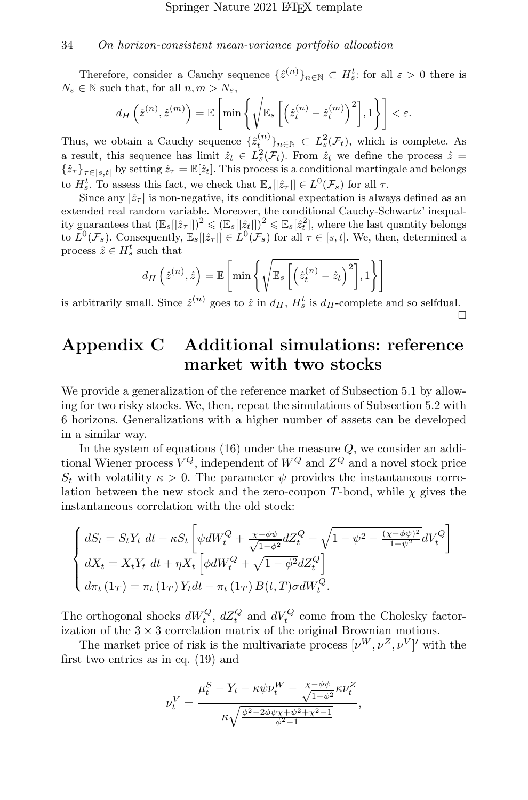Therefore, consider a Cauchy sequence  $\{\hat{z}^{(n)}\}_{n\in\mathbb{N}}\subset H_s^t$ : for all  $\varepsilon > 0$  there is  $N_{\varepsilon} \in \mathbb{N}$  such that, for all  $n, m > N_{\varepsilon}$ ,

$$
d_H\left(\hat{z}^{(n)}, \hat{z}^{(m)}\right) = \mathbb{E}\left[\min\left\{\sqrt{\mathbb{E}_s\left[\left(\hat{z}_t^{(n)} - \hat{z}_t^{(m)}\right)^2\right]}, 1\right\}\right] < \varepsilon.
$$

Thus, we obtain a Cauchy sequence  $\{\hat{z}_t^{(n)}\}_{n\in\mathbb{N}}\subset L^2_{s}(\mathcal{F}_t)$ , which is complete. As a result, this sequence has limit  $\hat{z}_t \in L_s^2(\mathcal{F}_t)$ . From  $\hat{z}_t$  we define the process  $\hat{z}$  =  $\{\hat{z}_{\tau}\}_{{\tau}\in[s,t]}$  by setting  $\hat{z}_{\tau} = \mathbb{E}[\hat{z}_t]$ . This process is a conditional martingale and belongs to  $H_s^t$ . To assess this fact, we check that  $\mathbb{E}_s[|\hat{z}_\tau|] \in L^0(\mathcal{F}_s)$  for all  $\tau$ .

Since any  $|\hat{z}_{\tau}|$  is non-negative, its conditional expectation is always defined as an extended real random variable. Moreover, the conditional Cauchy-Schwartz' inequality guarantees that  $(\mathbb{E}_s[[\hat{z}_t]])^2 \leqslant (\mathbb{E}_s[[\hat{z}_t]])^2 \leqslant \mathbb{E}_s[\hat{z}_t^2]$ , where the last quantity belongs to  $L^0(\mathcal{F}_s)$ . Consequently,  $\mathbb{E}_s[[\hat{z}_\tau]] \in L^0(\mathcal{F}_s)$  for all  $\tau \in [s, t]$ . We, then, determined a process  $\hat{z} \in H_s^t$  such that

$$
d_H\left(\hat{z}^{(n)},\hat{z}\right) = \mathbb{E}\left[\min\left\{\sqrt{\mathbb{E}_s\left[\left(\hat{z}_t^{(n)} - \hat{z}_t\right)^2\right]},1\right\}\right]
$$

is arbitrarily small. Since  $\hat{z}^{(n)}$  goes to  $\hat{z}$  in  $d_H$ ,  $H_s^t$  is  $d_H$ -complete and so selfdual. □

## <span id="page-33-0"></span>Appendix C Additional simulations: reference market with two stocks

We provide a generalization of the reference market of Subsection [5.1](#page-21-0) by allowing for two risky stocks. We, then, repeat the simulations of Subsection [5.2](#page-23-0) with 6 horizons. Generalizations with a higher number of assets can be developed in a similar way.

In the system of equations  $(16)$  under the measure  $Q$ , we consider an additional Wiener process  $V^Q$ , independent of  $W^Q$  and  $Z^Q$  and a novel stock price  $S_t$  with volatility  $\kappa > 0$ . The parameter  $\psi$  provides the instantaneous correlation between the new stock and the zero-coupon T-bond, while  $\chi$  gives the instantaneous correlation with the old stock:

$$
\begin{cases}\ndS_t = S_t Y_t \, dt + \kappa S_t \left[ \psi dW_t^Q + \frac{\chi - \phi \psi}{\sqrt{1 - \phi^2}} dZ_t^Q + \sqrt{1 - \psi^2 - \frac{(\chi - \phi \psi)^2}{1 - \psi^2}} dV_t^Q \right] \\
dX_t = X_t Y_t \, dt + \eta X_t \left[ \phi dW_t^Q + \sqrt{1 - \phi^2} dZ_t^Q \right] \\
d\pi_t (1_T) = \pi_t (1_T) Y_t dt - \pi_t (1_T) B(t, T) \sigma dW_t^Q.\n\end{cases}
$$

The orthogonal shocks  $dW_t^Q$ ,  $dZ_t^Q$  and  $dV_t^Q$  come from the Cholesky factorization of the  $3 \times 3$  correlation matrix of the original Brownian motions.

The market price of risk is the multivariate process  $[\nu^W, \nu^Z, \nu^V]'$  with the first two entries as in eq. [\(19\)](#page-22-1) and

$$
\nu_t^V=\frac{\mu_t^S-Y_t-\kappa\psi\nu_t^W-\frac{\chi-\phi\psi}{\sqrt{1-\phi^2}}\kappa\nu_t^Z}{\kappa\sqrt{\frac{\phi^2-2\phi\psi\chi+\psi^2+\chi^2-1}{\phi^2-1}}},
$$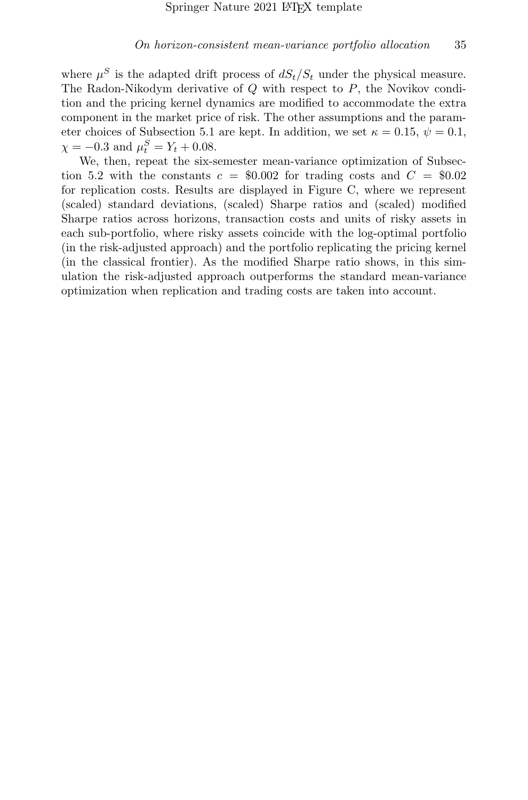where  $\mu^S$  is the adapted drift process of  $dS_t/S_t$  under the physical measure. The Radon-Nikodym derivative of Q with respect to P, the Novikov condition and the pricing kernel dynamics are modified to accommodate the extra component in the market price of risk. The other assumptions and the param-eter choices of Subsection [5.1](#page-21-0) are kept. In addition, we set  $\kappa = 0.15, \psi = 0.1$ ,  $\chi = -0.3$  and  $\mu_t^S = Y_t + 0.08$ .

We, then, repeat the six-semester mean-variance optimization of Subsec-tion [5.2](#page-23-0) with the constants  $c = $0.002$  for trading costs and  $C = $0.02$ for replication costs. Results are displayed in Figure [C,](#page-33-0) where we represent (scaled) standard deviations, (scaled) Sharpe ratios and (scaled) modified Sharpe ratios across horizons, transaction costs and units of risky assets in each sub-portfolio, where risky assets coincide with the log-optimal portfolio (in the risk-adjusted approach) and the portfolio replicating the pricing kernel (in the classical frontier). As the modified Sharpe ratio shows, in this simulation the risk-adjusted approach outperforms the standard mean-variance optimization when replication and trading costs are taken into account.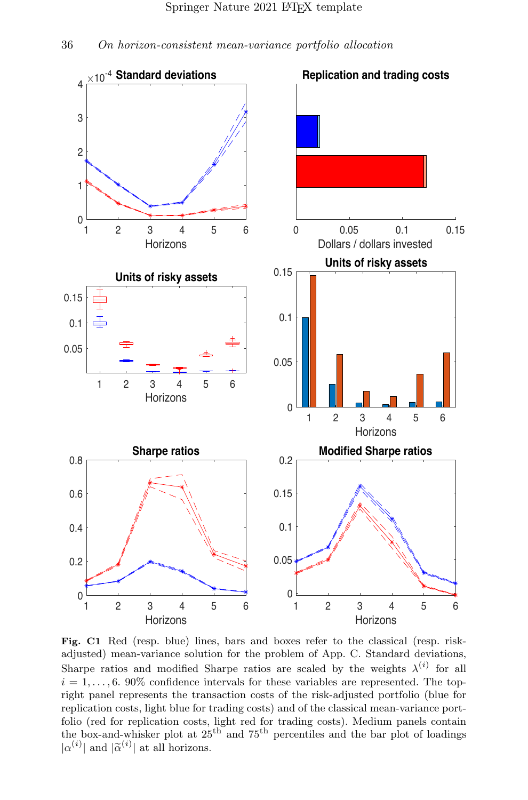

Fig. C1 Red (resp. blue) lines, bars and boxes refer to the classical (resp. riskadjusted) mean-variance solution for the problem of App. [C.](#page-33-0) Standard deviations, Sharpe ratios and modified Sharpe ratios are scaled by the weights  $\lambda^{(i)}$  for all  $i = 1, \ldots, 6$ . 90% confidence intervals for these variables are represented. The topright panel represents the transaction costs of the risk-adjusted portfolio (blue for replication costs, light blue for trading costs) and of the classical mean-variance portfolio (red for replication costs, light red for trading costs). Medium panels contain the box-and-whisker plot at 25th and 75th percentiles and the bar plot of loadings  $|\alpha^{(i)}|$  and  $|\tilde{\alpha}^{(i)}|$  at all horizons.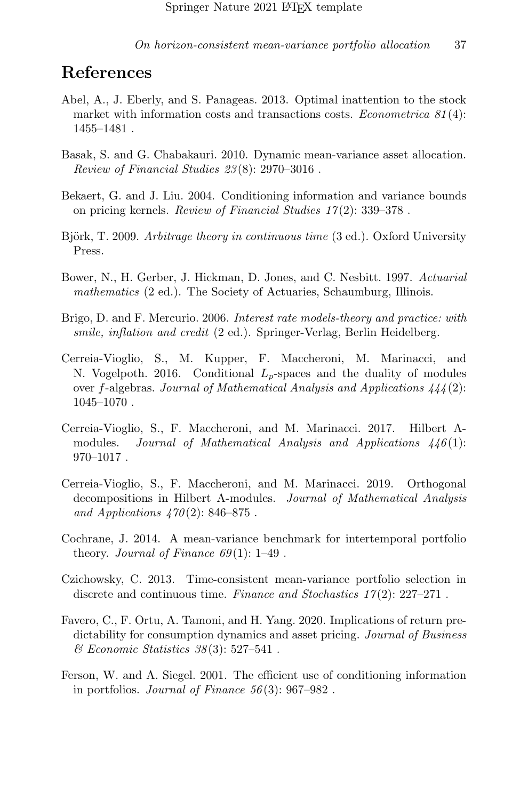## References

- <span id="page-36-12"></span>Abel, A., J. Eberly, and S. Panageas. 2013. Optimal inattention to the stock market with information costs and transactions costs. *Econometrica*  $81(4)$ : 1455–1481 .
- <span id="page-36-2"></span>Basak, S. and G. Chabakauri. 2010. Dynamic mean-variance asset allocation. Review of Financial Studies 23 (8): 2970–3016 .
- <span id="page-36-5"></span>Bekaert, G. and J. Liu. 2004. Conditioning information and variance bounds on pricing kernels. Review of Financial Studies 17 (2): 339–378 .
- <span id="page-36-7"></span>Björk, T. 2009. Arbitrage theory in continuous time (3 ed.). Oxford University Press.
- <span id="page-36-11"></span>Bower, N., H. Gerber, J. Hickman, D. Jones, and C. Nesbitt. 1997. Actuarial mathematics (2 ed.). The Society of Actuaries, Schaumburg, Illinois.
- <span id="page-36-10"></span>Brigo, D. and F. Mercurio. 2006. Interest rate models-theory and practice: with smile, inflation and credit (2 ed.). Springer-Verlag, Berlin Heidelberg.
- <span id="page-36-8"></span>Cerreia-Vioglio, S., M. Kupper, F. Maccheroni, M. Marinacci, and N. Vogelpoth. 2016. Conditional  $L_p$ -spaces and the duality of modules over f-algebras. Journal of Mathematical Analysis and Applications  $444(2)$ : 1045–1070 .
- <span id="page-36-0"></span>Cerreia-Vioglio, S., F. Maccheroni, and M. Marinacci. 2017. Hilbert Amodules. Journal of Mathematical Analysis and Applications  $446(1)$ :  $970 - 1017$ .
- <span id="page-36-9"></span>Cerreia-Vioglio, S., F. Maccheroni, and M. Marinacci. 2019. Orthogonal decompositions in Hilbert A-modules. Journal of Mathematical Analysis and Applications  $470(2)$ : 846–875.
- <span id="page-36-1"></span>Cochrane, J. 2014. A mean-variance benchmark for intertemporal portfolio theory. Journal of Finance  $69(1)$ : 1–49.
- <span id="page-36-3"></span>Czichowsky, C. 2013. Time-consistent mean-variance portfolio selection in discrete and continuous time. Finance and Stochastics  $17(2)$ :  $227-271$ .
- <span id="page-36-6"></span>Favero, C., F. Ortu, A. Tamoni, and H. Yang. 2020. Implications of return predictability for consumption dynamics and asset pricing. Journal of Business  $\mathscr$ *Economic Statistics 38*(3): 527–541.
- <span id="page-36-4"></span>Ferson, W. and A. Siegel. 2001. The efficient use of conditioning information in portfolios. Journal of Finance  $56(3)$ : 967–982.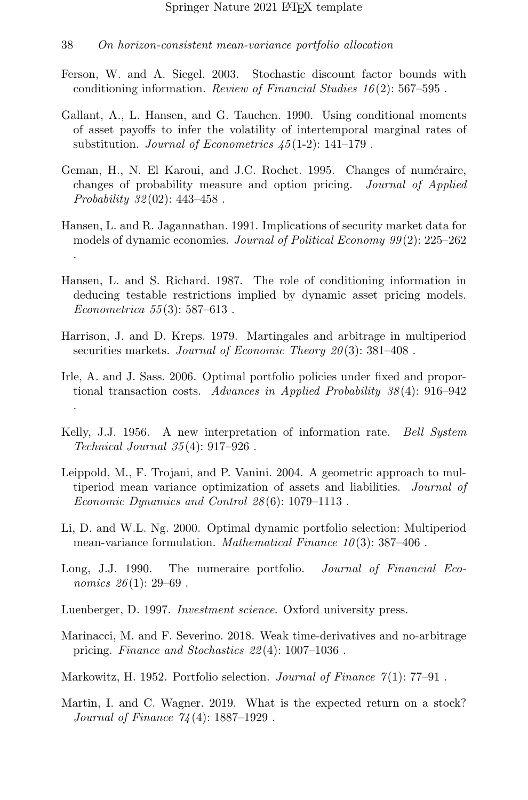- <span id="page-37-9"></span>Ferson, W. and A. Siegel. 2003. Stochastic discount factor bounds with conditioning information. Review of Financial Studies  $16(2)$ : 567–595.
- <span id="page-37-10"></span>Gallant, A., L. Hansen, and G. Tauchen. 1990. Using conditional moments of asset payoffs to infer the volatility of intertemporal marginal rates of substitution. Journal of Econometrics 45 (1-2): 141–179 .
- <span id="page-37-11"></span>Geman, H., N. El Karoui, and J.C. Rochet. 1995. Changes of numéraire, changes of probability measure and option pricing. Journal of Applied Probability  $32(02)$ : 443-458.
- <span id="page-37-8"></span>Hansen, L. and R. Jagannathan. 1991. Implications of security market data for models of dynamic economies. Journal of Political Economy 99(2): 225–262 .
- <span id="page-37-0"></span>Hansen, L. and S. Richard. 1987. The role of conditioning information in deducing testable restrictions implied by dynamic asset pricing models. Econometrica  $55(3)$ : 587-613.
- <span id="page-37-4"></span>Harrison, J. and D. Kreps. 1979. Martingales and arbitrage in multiperiod securities markets. Journal of Economic Theory  $20(3)$ : 381-408.
- <span id="page-37-13"></span>Irle, A. and J. Sass. 2006. Optimal portfolio policies under fixed and proportional transaction costs. Advances in Applied Probability 38 (4): 916–942 .
- <span id="page-37-3"></span>Kelly, J.J. 1956. A new interpretation of information rate. *Bell System* Technical Journal 35 (4): 917–926 .
- <span id="page-37-7"></span>Leippold, M., F. Trojani, and P. Vanini. 2004. A geometric approach to multiperiod mean variance optimization of assets and liabilities. Journal of Economic Dynamics and Control 28 (6): 1079–1113 .
- <span id="page-37-6"></span>Li, D. and W.L. Ng. 2000. Optimal dynamic portfolio selection: Multiperiod mean-variance formulation. *Mathematical Finance*  $10(3)$ : 387-406.
- <span id="page-37-2"></span>Long, J.J. 1990. The numeraire portfolio. Journal of Financial Economics  $26(1)$ : 29–69.
- <span id="page-37-14"></span>Luenberger, D. 1997. Investment science. Oxford university press.
- <span id="page-37-12"></span>Marinacci, M. and F. Severino. 2018. Weak time-derivatives and no-arbitrage pricing. Finance and Stochastics 22 (4): 1007–1036 .
- <span id="page-37-1"></span>Markowitz, H. 1952. Portfolio selection. *Journal of Finance*  $\gamma(1)$ : 77–91.
- <span id="page-37-5"></span>Martin, I. and C. Wagner. 2019. What is the expected return on a stock? Journal of Finance 74 (4): 1887–1929 .